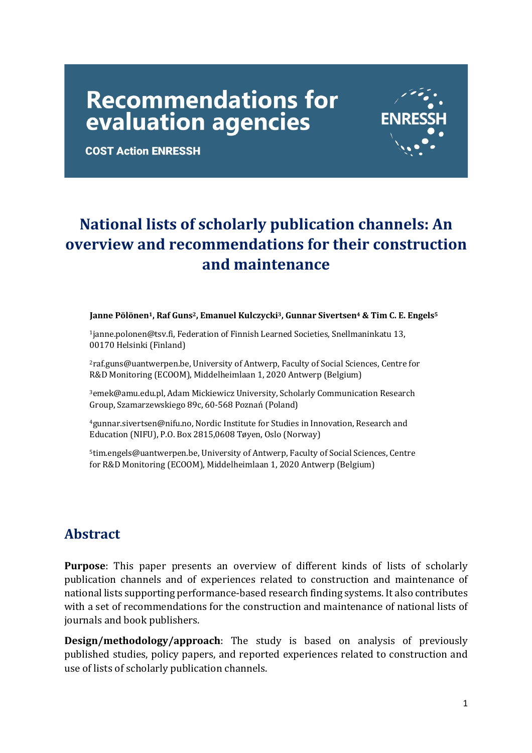# **Recommendations for** evaluation agencies



**COST Action ENRESSH** 

# National lists of scholarly publication channels: An **overview and recommendations for their construction and maintenance**

#### **Janne Pölönen<sup>1</sup>, Raf Guns<sup>2</sup>, Emanuel Kulczycki<sup>3</sup>, Gunnar Sivertsen<sup>4</sup> & Tim C. E. Engels<sup>5</sup>**

<sup>1</sup>janne.polonen@tsv.fi, Federation of Finnish Learned Societies, Snellmaninkatu 13, 00170 Helsinki (Finland)

<sup>2</sup>raf.guns@uantwerpen.be, University of Antwerp, Faculty of Social Sciences, Centre for R&D Monitoring (ECOOM), Middelheimlaan 1, 2020 Antwerp (Belgium)

<sup>3</sup>emek@amu.edu.pl, Adam Mickiewicz University, Scholarly Communication Research Group, Szamarzewskiego 89c, 60-568 Poznań (Poland)

<sup>4</sup>gunnar.sivertsen@nifu.no, Nordic Institute for Studies in Innovation, Research and Education (NIFU), P.O. Box 2815,0608 Tøyen, Oslo (Norway)

5tim.engels@uantwerpen.be, University of Antwerp, Faculty of Social Sciences, Centre for R&D Monitoring (ECOOM), Middelheimlaan 1, 2020 Antwerp (Belgium)

### **Abstract**

**Purpose**: This paper presents an overview of different kinds of lists of scholarly publication channels and of experiences related to construction and maintenance of national lists supporting performance-based research finding systems. It also contributes with a set of recommendations for the construction and maintenance of national lists of journals and book publishers.

**Design/methodology/approach**: The study is based on analysis of previously published studies, policy papers, and reported experiences related to construction and use of lists of scholarly publication channels.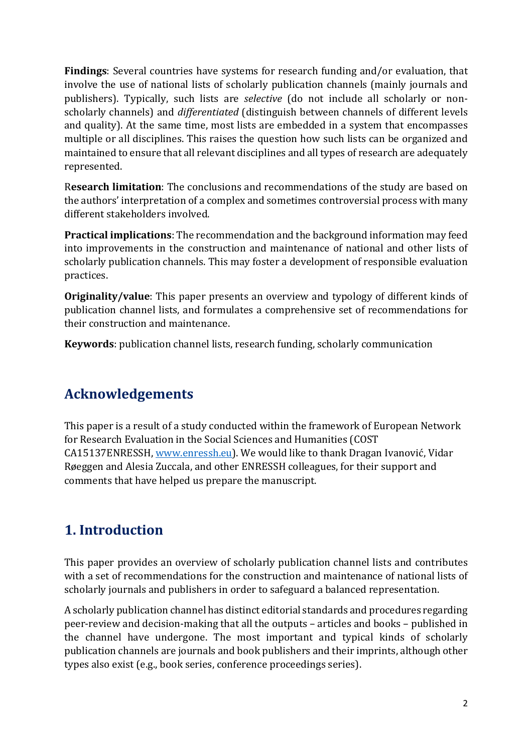**Findings**: Several countries have systems for research funding and/or evaluation, that involve the use of national lists of scholarly publication channels (mainly journals and publishers). Typically, such lists are *selective* (do not include all scholarly or nonscholarly channels) and *differentiated* (distinguish between channels of different levels and quality). At the same time, most lists are embedded in a system that encompasses multiple or all disciplines. This raises the question how such lists can be organized and maintained to ensure that all relevant disciplines and all types of research are adequately represented.

Research limitation: The conclusions and recommendations of the study are based on the authors' interpretation of a complex and sometimes controversial process with many different stakeholders involved.

**Practical implications**: The recommendation and the background information may feed into improvements in the construction and maintenance of national and other lists of scholarly publication channels. This may foster a development of responsible evaluation practices.

**Originality/value**: This paper presents an overview and typology of different kinds of publication channel lists, and formulates a comprehensive set of recommendations for their construction and maintenance.

**Keywords**: publication channel lists, research funding, scholarly communication

### **Acknowledgements**

This paper is a result of a study conducted within the framework of European Network for Research Evaluation in the Social Sciences and Humanities (COST CA15137ENRESSH, www.enressh.eu). We would like to thank Dragan Ivanović, Vidar Røeggen and Alesia Zuccala, and other ENRESSH colleagues, for their support and comments that have helped us prepare the manuscript.

# **1. Introduction**

This paper provides an overview of scholarly publication channel lists and contributes with a set of recommendations for the construction and maintenance of national lists of scholarly journals and publishers in order to safeguard a balanced representation.

A scholarly publication channel has distinct editorial standards and procedures regarding peer-review and decision-making that all the outputs – articles and books – published in the channel have undergone. The most important and typical kinds of scholarly publication channels are journals and book publishers and their imprints, although other types also exist (e.g., book series, conference proceedings series).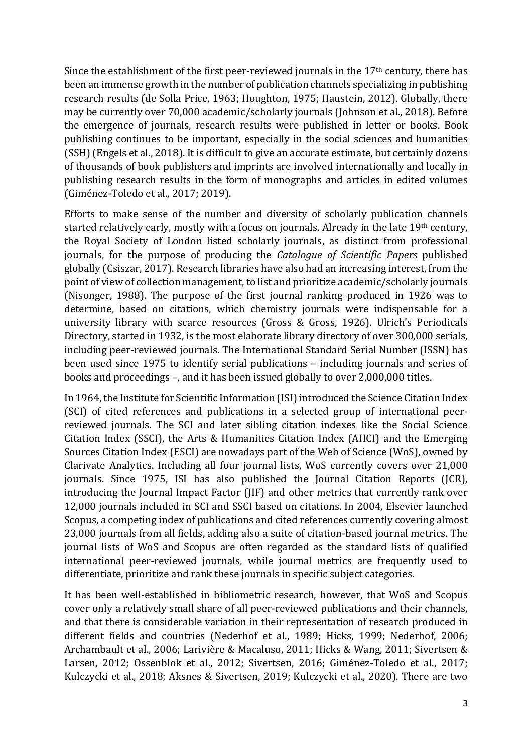Since the establishment of the first peer-reviewed journals in the  $17<sup>th</sup>$  century, there has been an immense growth in the number of publication channels specializing in publishing research results (de Solla Price, 1963; Houghton, 1975; Haustein, 2012). Globally, there may be currently over 70,000 academic/scholarly journals (Johnson et al., 2018). Before the emergence of journals, research results were published in letter or books. Book publishing continues to be important, especially in the social sciences and humanities (SSH) (Engels et al., 2018). It is difficult to give an accurate estimate, but certainly dozens of thousands of book publishers and imprints are involved internationally and locally in publishing research results in the form of monographs and articles in edited volumes (Giménez-Toledo et al., 2017; 2019).

Efforts to make sense of the number and diversity of scholarly publication channels started relatively early, mostly with a focus on journals. Already in the late 19<sup>th</sup> century, the Royal Society of London listed scholarly journals, as distinct from professional journals, for the purpose of producing the *Catalogue of Scientific Papers* published globally (Csiszar, 2017). Research libraries have also had an increasing interest, from the point of view of collection management, to list and prioritize academic/scholarly journals (Nisonger, 1988). The purpose of the first journal ranking produced in 1926 was to determine, based on citations, which chemistry journals were indispensable for a university library with scarce resources (Gross & Gross, 1926). Ulrich's Periodicals Directory, started in 1932, is the most elaborate library directory of over 300,000 serials, including peer-reviewed journals. The International Standard Serial Number (ISSN) has been used since 1975 to identify serial publications – including journals and series of books and proceedings –, and it has been issued globally to over 2,000,000 titles.

In 1964, the Institute for Scientific Information (ISI) introduced the Science Citation Index (SCI) of cited references and publications in a selected group of international peerreviewed journals. The SCI and later sibling citation indexes like the Social Science Citation Index (SSCI), the Arts & Humanities Citation Index (AHCI) and the Emerging Sources Citation Index (ESCI) are nowadays part of the Web of Science (WoS), owned by Clarivate Analytics. Including all four journal lists, WoS currently covers over 21,000 journals. Since 1975, ISI has also published the Journal Citation Reports (JCR), introducing the Journal Impact Factor (JIF) and other metrics that currently rank over 12,000 journals included in SCI and SSCI based on citations. In 2004, Elsevier launched Scopus, a competing index of publications and cited references currently covering almost 23,000 journals from all fields, adding also a suite of citation-based journal metrics. The journal lists of WoS and Scopus are often regarded as the standard lists of qualified international peer-reviewed journals, while journal metrics are frequently used to differentiate, prioritize and rank these journals in specific subject categories.

It has been well-established in bibliometric research, however, that WoS and Scopus cover only a relatively small share of all peer-reviewed publications and their channels, and that there is considerable variation in their representation of research produced in different fields and countries (Nederhof et al., 1989; Hicks, 1999; Nederhof, 2006; Archambault et al., 2006; Larivière & Macaluso, 2011; Hicks & Wang, 2011; Sivertsen & Larsen, 2012; Ossenblok et al., 2012; Sivertsen, 2016; Giménez-Toledo et al., 2017; Kulczycki et al., 2018; Aksnes & Sivertsen, 2019; Kulczycki et al., 2020). There are two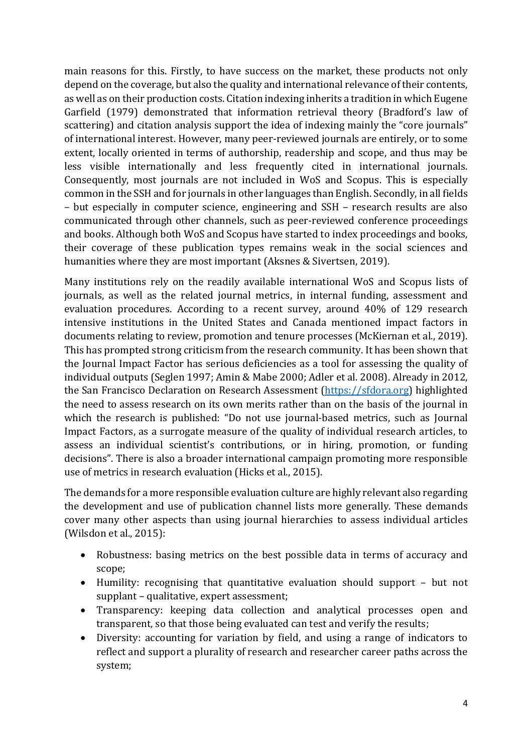main reasons for this. Firstly, to have success on the market, these products not only depend on the coverage, but also the quality and international relevance of their contents, as well as on their production costs. Citation indexing inherits a tradition in which Eugene Garfield (1979) demonstrated that information retrieval theory (Bradford's law of scattering) and citation analysis support the idea of indexing mainly the "core journals" of international interest. However, many peer-reviewed journals are entirely, or to some extent, locally oriented in terms of authorship, readership and scope, and thus may be less visible internationally and less frequently cited in international journals. Consequently, most journals are not included in WoS and Scopus. This is especially common in the SSH and for journals in other languages than English. Secondly, in all fields – but especially in computer science, engineering and SSH – research results are also communicated through other channels, such as peer-reviewed conference proceedings and books. Although both WoS and Scopus have started to index proceedings and books, their coverage of these publication types remains weak in the social sciences and humanities where they are most important (Aksnes & Sivertsen, 2019).

Many institutions rely on the readily available international WoS and Scopus lists of journals, as well as the related journal metrics, in internal funding, assessment and evaluation procedures. According to a recent survey, around 40% of 129 research intensive institutions in the United States and Canada mentioned impact factors in documents relating to review, promotion and tenure processes (McKiernan et al., 2019). This has prompted strong criticism from the research community. It has been shown that the Journal Impact Factor has serious deficiencies as a tool for assessing the quality of individual outputs (Seglen 1997; Amin & Mabe 2000; Adler et al. 2008). Already in 2012, the San Francisco Declaration on Research Assessment (https://sfdora.org) highlighted the need to assess research on its own merits rather than on the basis of the journal in which the research is published: "Do not use journal-based metrics, such as Journal Impact Factors, as a surrogate measure of the quality of individual research articles, to assess an individual scientist's contributions, or in hiring, promotion, or funding decisions". There is also a broader international campaign promoting more responsible use of metrics in research evaluation (Hicks et al., 2015).

The demands for a more responsible evaluation culture are highly relevant also regarding the development and use of publication channel lists more generally. These demands cover many other aspects than using journal hierarchies to assess individual articles (Wilsdon et al., 2015):

- Robustness: basing metrics on the best possible data in terms of accuracy and scope;
- Humility: recognising that quantitative evaluation should support  $-$  but not supplant - qualitative, expert assessment;
- Transparency: keeping data collection and analytical processes open and transparent, so that those being evaluated can test and verify the results;
- Diversity: accounting for variation by field, and using a range of indicators to reflect and support a plurality of research and researcher career paths across the system;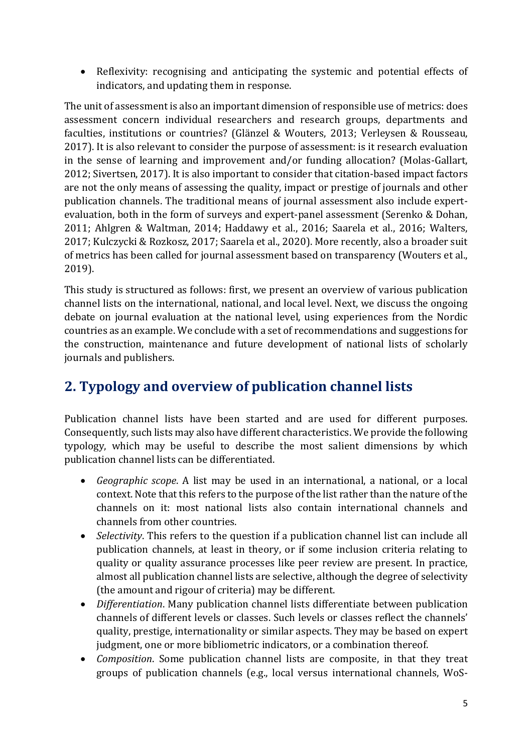• Reflexivity: recognising and anticipating the systemic and potential effects of indicators, and updating them in response.

The unit of assessment is also an important dimension of responsible use of metrics: does assessment concern individual researchers and research groups, departments and faculties, institutions or countries? (Glänzel & Wouters, 2013; Verleysen & Rousseau, 2017). It is also relevant to consider the purpose of assessment: is it research evaluation in the sense of learning and improvement and/or funding allocation? (Molas-Gallart, 2012; Sivertsen, 2017). It is also important to consider that citation-based impact factors are not the only means of assessing the quality, impact or prestige of journals and other publication channels. The traditional means of journal assessment also include expertevaluation, both in the form of surveys and expert-panel assessment (Serenko & Dohan, 2011; Ahlgren & Waltman, 2014; Haddawy et al., 2016; Saarela et al., 2016; Walters, 2017; Kulczycki & Rozkosz, 2017; Saarela et al., 2020). More recently, also a broader suit of metrics has been called for journal assessment based on transparency (Wouters et al., 2019).

This study is structured as follows: first, we present an overview of various publication channel lists on the international, national, and local level. Next, we discuss the ongoing debate on journal evaluation at the national level, using experiences from the Nordic countries as an example. We conclude with a set of recommendations and suggestions for the construction, maintenance and future development of national lists of scholarly journals and publishers.

# **2. Typology and overview of publication channel lists**

Publication channel lists have been started and are used for different purposes. Consequently, such lists may also have different characteristics. We provide the following typology, which may be useful to describe the most salient dimensions by which publication channel lists can be differentiated.

- *Geographic scope*. A list may be used in an international, a national, or a local context. Note that this refers to the purpose of the list rather than the nature of the channels on it: most national lists also contain international channels and channels from other countries.
- *Selectivity*. This refers to the question if a publication channel list can include all publication channels, at least in theory, or if some inclusion criteria relating to quality or quality assurance processes like peer review are present. In practice, almost all publication channel lists are selective, although the degree of selectivity (the amount and rigour of criteria) may be different.
- *Differentiation*. Many publication channel lists differentiate between publication channels of different levels or classes. Such levels or classes reflect the channels' quality, prestige, internationality or similar aspects. They may be based on expert judgment, one or more bibliometric indicators, or a combination thereof.
- *Composition*. Some publication channel lists are composite, in that they treat groups of publication channels (e.g., local versus international channels, WoS-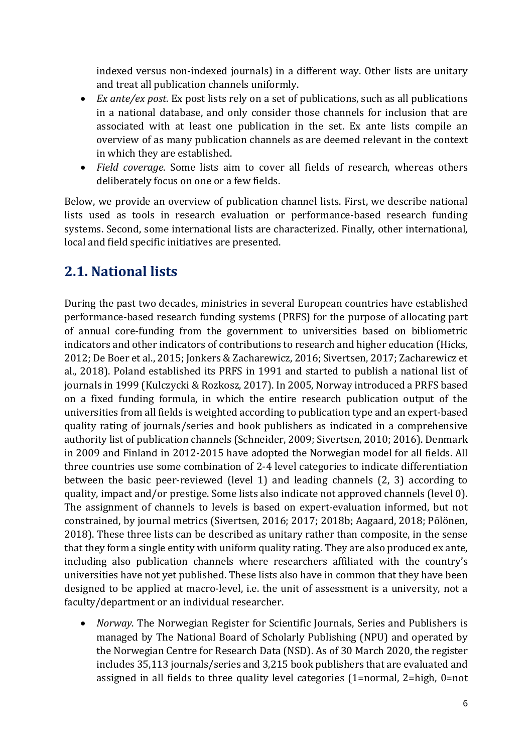indexed versus non-indexed journals) in a different way. Other lists are unitary and treat all publication channels uniformly.

- *Ex ante/ex post.* Ex post lists rely on a set of publications, such as all publications in a national database, and only consider those channels for inclusion that are associated with at least one publication in the set. Ex ante lists compile an overview of as many publication channels as are deemed relevant in the context in which they are established.
- *Field coverage*. Some lists aim to cover all fields of research, whereas others deliberately focus on one or a few fields.

Below, we provide an overview of publication channel lists. First, we describe national lists used as tools in research evaluation or performance-based research funding systems. Second, some international lists are characterized. Finally, other international, local and field specific initiatives are presented.

# **2.1. National lists**

During the past two decades, ministries in several European countries have established performance-based research funding systems (PRFS) for the purpose of allocating part of annual core-funding from the government to universities based on bibliometric indicators and other indicators of contributions to research and higher education (Hicks, 2012; De Boer et al., 2015; Jonkers & Zacharewicz, 2016; Sivertsen, 2017; Zacharewicz et al., 2018). Poland established its PRFS in 1991 and started to publish a national list of journals in 1999 (Kulczycki & Rozkosz, 2017). In 2005, Norway introduced a PRFS based on a fixed funding formula, in which the entire research publication output of the universities from all fields is weighted according to publication type and an expert-based quality rating of journals/series and book publishers as indicated in a comprehensive authority list of publication channels (Schneider, 2009; Sivertsen, 2010; 2016). Denmark in 2009 and Finland in 2012-2015 have adopted the Norwegian model for all fields. All three countries use some combination of 2-4 level categories to indicate differentiation between the basic peer-reviewed (level 1) and leading channels  $(2, 3)$  according to quality, impact and/or prestige. Some lists also indicate not approved channels (level 0). The assignment of channels to levels is based on expert-evaluation informed, but not constrained, by journal metrics (Sivertsen, 2016; 2017; 2018b; Aagaard, 2018; Pölönen, 2018). These three lists can be described as unitary rather than composite, in the sense that they form a single entity with uniform quality rating. They are also produced ex ante, including also publication channels where researchers affiliated with the country's universities have not yet published. These lists also have in common that they have been designed to be applied at macro-level, i.e. the unit of assessment is a university, not a faculty/department or an individual researcher.

• *Norway*. The Norwegian Register for Scientific Journals, Series and Publishers is managed by The National Board of Scholarly Publishing (NPU) and operated by the Norwegian Centre for Research Data (NSD). As of 30 March 2020, the register includes 35,113 journals/series and 3,215 book publishers that are evaluated and assigned in all fields to three quality level categories  $(1=normal, 2=high, 0=not$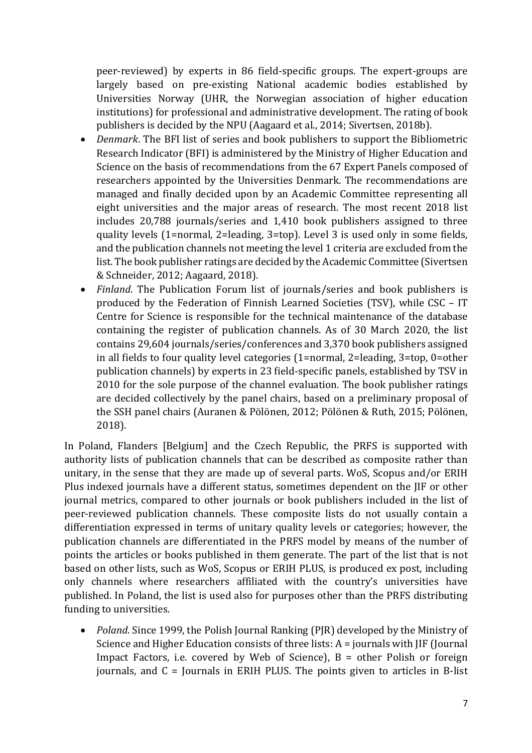peer-reviewed) by experts in 86 field-specific groups. The expert-groups are largely based on pre-existing National academic bodies established by Universities Norway (UHR, the Norwegian association of higher education institutions) for professional and administrative development. The rating of book publishers is decided by the NPU (Aagaard et al., 2014; Sivertsen, 2018b).

- *Denmark*. The BFI list of series and book publishers to support the Bibliometric Research Indicator (BFI) is administered by the Ministry of Higher Education and Science on the basis of recommendations from the 67 Expert Panels composed of researchers appointed by the Universities Denmark. The recommendations are managed and finally decided upon by an Academic Committee representing all eight universities and the major areas of research. The most recent 2018 list includes 20,788 journals/series and 1,410 book publishers assigned to three quality levels  $(1=normal, 2=leading, 3=top)$ . Level 3 is used only in some fields, and the publication channels not meeting the level 1 criteria are excluded from the list. The book publisher ratings are decided by the Academic Committee (Sivertsen & Schneider, 2012; Aagaard, 2018).
- *Finland*. The Publication Forum list of journals/series and book publishers is produced by the Federation of Finnish Learned Societies (TSV), while CSC - IT Centre for Science is responsible for the technical maintenance of the database containing the register of publication channels. As of 30 March 2020, the list contains 29,604 journals/series/conferences and 3,370 book publishers assigned in all fields to four quality level categories  $(1=normal, 2=leading, 3=top, 0=other)$ publication channels) by experts in 23 field-specific panels, established by TSV in 2010 for the sole purpose of the channel evaluation. The book publisher ratings are decided collectively by the panel chairs, based on a preliminary proposal of the SSH panel chairs (Auranen & Pölönen, 2012; Pölönen & Ruth, 2015; Pölönen, 2018).

In Poland, Flanders [Belgium] and the Czech Republic, the PRFS is supported with authority lists of publication channels that can be described as composite rather than unitary, in the sense that they are made up of several parts. WoS, Scopus and/or ERIH Plus indexed journals have a different status, sometimes dependent on the JIF or other journal metrics, compared to other journals or book publishers included in the list of peer-reviewed publication channels. These composite lists do not usually contain a differentiation expressed in terms of unitary quality levels or categories; however, the publication channels are differentiated in the PRFS model by means of the number of points the articles or books published in them generate. The part of the list that is not based on other lists, such as WoS, Scopus or ERIH PLUS, is produced ex post, including only channels where researchers affiliated with the country's universities have published. In Poland, the list is used also for purposes other than the PRFS distributing funding to universities.

*Poland*. Since 1999, the Polish Journal Ranking (PJR) developed by the Ministry of Science and Higher Education consists of three lists:  $A =$  journals with JIF (Journal Impact Factors, i.e. covered by Web of Science),  $B =$  other Polish or foreign journals, and  $C =$  Journals in ERIH PLUS. The points given to articles in B-list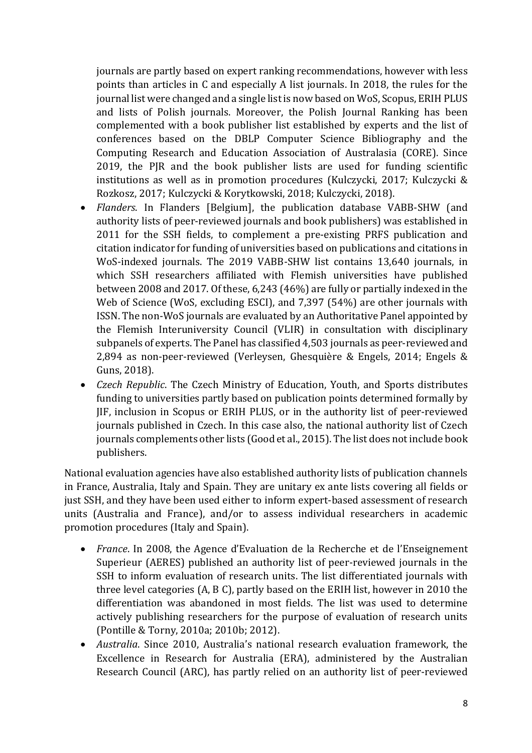journals are partly based on expert ranking recommendations, however with less points than articles in C and especially A list journals. In 2018, the rules for the journal list were changed and a single list is now based on WoS, Scopus, ERIH PLUS and lists of Polish journals. Moreover, the Polish Journal Ranking has been complemented with a book publisher list established by experts and the list of conferences based on the DBLP Computer Science Bibliography and the Computing Research and Education Association of Australasia (CORE). Since 2019, the PJR and the book publisher lists are used for funding scientific institutions as well as in promotion procedures (Kulczycki, 2017; Kulczycki  $\&$ Rozkosz, 2017; Kulczycki & Korytkowski, 2018; Kulczycki, 2018).

- *Flanders*. In Flanders [Belgium], the publication database VABB-SHW (and authority lists of peer-reviewed journals and book publishers) was established in 2011 for the SSH fields, to complement a pre-existing PRFS publication and citation indicator for funding of universities based on publications and citations in WoS-indexed journals. The 2019 VABB-SHW list contains 13,640 journals, in which SSH researchers affiliated with Flemish universities have published between 2008 and 2017. Of these, 6,243 (46%) are fully or partially indexed in the Web of Science (WoS, excluding ESCI), and 7,397 (54%) are other journals with ISSN. The non-WoS journals are evaluated by an Authoritative Panel appointed by the Flemish Interuniversity Council (VLIR) in consultation with disciplinary subpanels of experts. The Panel has classified 4,503 journals as peer-reviewed and 2,894 as non-peer-reviewed (Verleysen, Ghesquière & Engels, 2014; Engels & Guns, 2018).
- *Czech Republic*. The Czech Ministry of Education, Youth, and Sports distributes funding to universities partly based on publication points determined formally by JIF, inclusion in Scopus or ERIH PLUS, or in the authority list of peer-reviewed journals published in Czech. In this case also, the national authority list of Czech journals complements other lists (Good et al., 2015). The list does not include book publishers.

National evaluation agencies have also established authority lists of publication channels in France, Australia, Italy and Spain. They are unitary ex ante lists covering all fields or just SSH, and they have been used either to inform expert-based assessment of research units (Australia and France), and/or to assess individual researchers in academic promotion procedures (Italy and Spain).

- *France*. In 2008, the Agence d'Evaluation de la Recherche et de l'Enseignement Superieur (AERES) published an authority list of peer-reviewed journals in the SSH to inform evaluation of research units. The list differentiated journals with three level categories  $(A, B C)$ , partly based on the ERIH list, however in 2010 the differentiation was abandoned in most fields. The list was used to determine actively publishing researchers for the purpose of evaluation of research units (Pontille & Torny, 2010a; 2010b; 2012).
- *Australia*, Since 2010, Australia's national research evaluation framework, the Excellence in Research for Australia (ERA), administered by the Australian Research Council (ARC), has partly relied on an authority list of peer-reviewed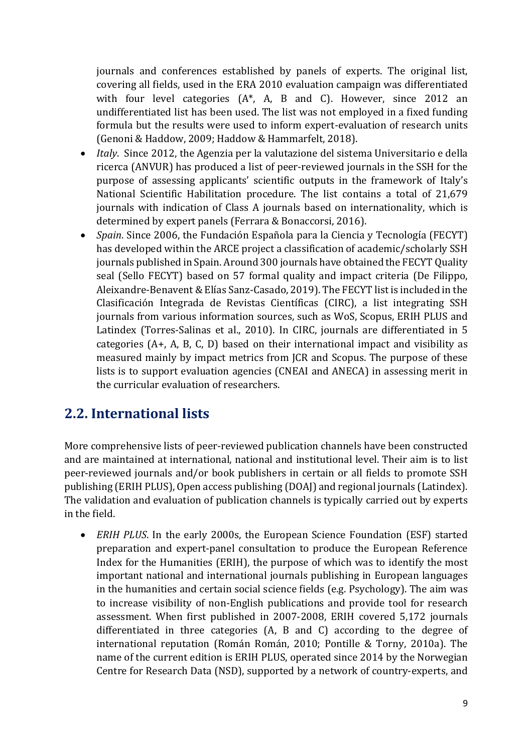journals and conferences established by panels of experts. The original list, covering all fields, used in the ERA 2010 evaluation campaign was differentiated with four level categories  $(A^*, A, B \text{ and } C)$ . However, since 2012 an undifferentiated list has been used. The list was not employed in a fixed funding formula but the results were used to inform expert-evaluation of research units (Genoni & Haddow, 2009; Haddow & Hammarfelt, 2018).

- *Italy*. Since 2012, the Agenzia per la valutazione del sistema Universitario e della ricerca (ANVUR) has produced a list of peer-reviewed journals in the SSH for the purpose of assessing applicants' scientific outputs in the framework of Italy's National Scientific Habilitation procedure. The list contains a total of 21,679 journals with indication of Class A journals based on internationality, which is determined by expert panels (Ferrara & Bonaccorsi, 2016).
- *Spain*. Since 2006, the Fundación Española para la Ciencia y Tecnología (FECYT) has developed within the ARCE project a classification of academic/scholarly SSH journals published in Spain. Around 300 journals have obtained the FECYT Quality seal (Sello FECYT) based on 57 formal quality and impact criteria (De Filippo, Aleixandre-Benavent & Elías Sanz-Casado, 2019). The FECYT list is included in the Clasificación Integrada de Revistas Científicas (CIRC), a list integrating SSH journals from various information sources, such as WoS, Scopus, ERIH PLUS and Latindex (Torres-Salinas et al., 2010). In CIRC, journals are differentiated in 5 categories  $(A+, A, B, C, D)$  based on their international impact and visibility as measured mainly by impact metrics from JCR and Scopus. The purpose of these lists is to support evaluation agencies (CNEAI and ANECA) in assessing merit in the curricular evaluation of researchers.

### **2.2. International lists**

More comprehensive lists of peer-reviewed publication channels have been constructed and are maintained at international, national and institutional level. Their aim is to list peer-reviewed journals and/or book publishers in certain or all fields to promote SSH publishing (ERIH PLUS), Open access publishing (DOAJ) and regional journals (Latindex). The validation and evaluation of publication channels is typically carried out by experts in the field.

• *ERIH PLUS*. In the early 2000s, the European Science Foundation (ESF) started preparation and expert-panel consultation to produce the European Reference Index for the Humanities (ERIH), the purpose of which was to identify the most important national and international journals publishing in European languages in the humanities and certain social science fields (e.g. Psychology). The aim was to increase visibility of non-English publications and provide tool for research assessment. When first published in 2007-2008, ERIH covered 5,172 journals differentiated in three categories  $(A, B, A)$  and  $C$ ) according to the degree of international reputation (Román Román, 2010; Pontille & Torny, 2010a). The name of the current edition is ERIH PLUS, operated since 2014 by the Norwegian Centre for Research Data (NSD), supported by a network of country-experts, and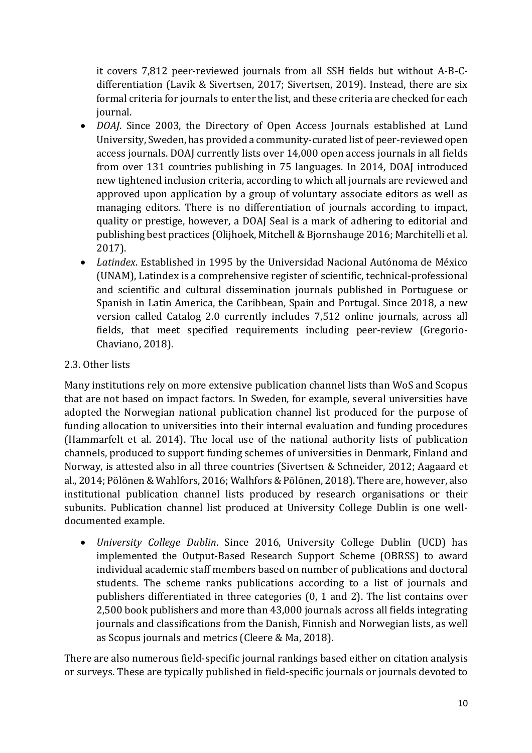it covers 7,812 peer-reviewed journals from all SSH fields but without A-B-Cdifferentiation (Lavik & Sivertsen, 2017; Sivertsen, 2019). Instead, there are six formal criteria for journals to enter the list, and these criteria are checked for each journal.

- *DOAJ*. Since 2003, the Directory of Open Access Journals established at Lund University, Sweden, has provided a community-curated list of peer-reviewed open access journals. DOAJ currently lists over 14,000 open access journals in all fields from over 131 countries publishing in 75 languages. In 2014, DOAJ introduced new tightened inclusion criteria, according to which all journals are reviewed and approved upon application by a group of voluntary associate editors as well as managing editors. There is no differentiation of journals according to impact, quality or prestige, however, a DOAJ Seal is a mark of adhering to editorial and publishing best practices (Olijhoek, Mitchell & Bjornshauge 2016; Marchitelli et al. 2017).
- *Latindex*. Established in 1995 by the Universidad Nacional Autónoma de México (UNAM), Latindex is a comprehensive register of scientific, technical-professional and scientific and cultural dissemination journals published in Portuguese or Spanish in Latin America, the Caribbean, Spain and Portugal. Since 2018, a new version called Catalog 2.0 currently includes 7,512 online journals, across all fields, that meet specified requirements including peer-review (Gregorio-Chaviano, 2018).

#### 2.3. Other lists

Many institutions rely on more extensive publication channel lists than WoS and Scopus that are not based on impact factors. In Sweden, for example, several universities have adopted the Norwegian national publication channel list produced for the purpose of funding allocation to universities into their internal evaluation and funding procedures (Hammarfelt et al. 2014). The local use of the national authority lists of publication channels, produced to support funding schemes of universities in Denmark, Finland and Norway, is attested also in all three countries (Sivertsen & Schneider, 2012; Aagaard et al., 2014; Pölönen & Wahlfors, 2016; Walhfors & Pölönen, 2018). There are, however, also institutional publication channel lists produced by research organisations or their subunits. Publication channel list produced at University College Dublin is one welldocumented example.

• *University College Dublin*. Since 2016, University College Dublin (UCD) has implemented the Output-Based Research Support Scheme (OBRSS) to award individual academic staff members based on number of publications and doctoral students. The scheme ranks publications according to a list of journals and publishers differentiated in three categories  $(0, 1, 1)$  and  $(2)$ . The list contains over 2,500 book publishers and more than 43,000 journals across all fields integrating journals and classifications from the Danish, Finnish and Norwegian lists, as well as Scopus journals and metrics (Cleere & Ma, 2018).

There are also numerous field-specific journal rankings based either on citation analysis or surveys. These are typically published in field-specific journals or journals devoted to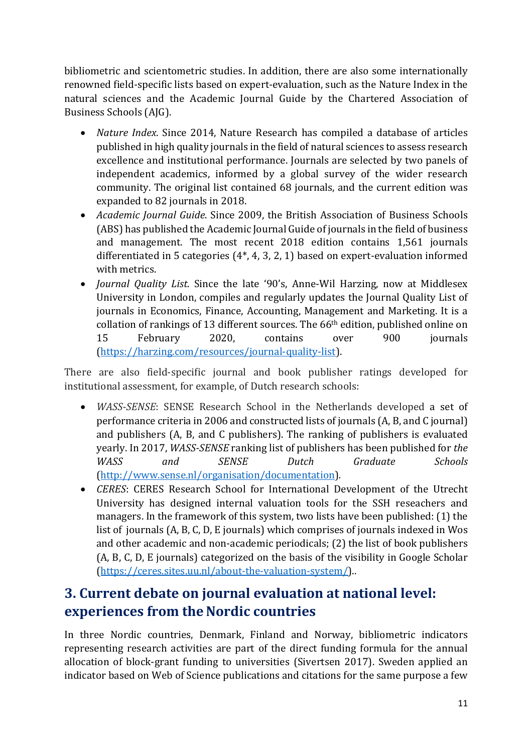bibliometric and scientometric studies. In addition, there are also some internationally renowned field-specific lists based on expert-evaluation, such as the Nature Index in the natural sciences and the Academic Journal Guide by the Chartered Association of Business Schools (AJG).

- *Nature Index.* Since 2014, Nature Research has compiled a database of articles published in high quality journals in the field of natural sciences to assess research excellence and institutional performance. Journals are selected by two panels of independent academics, informed by a global survey of the wider research community. The original list contained 68 journals, and the current edition was expanded to 82 journals in 2018.
- *Academic Journal Guide*. Since 2009, the British Association of Business Schools (ABS) has published the Academic Journal Guide of journals in the field of business and management. The most recent 2018 edition contains 1,561 journals differentiated in 5 categories  $(4^*, 4, 3, 2, 1)$  based on expert-evaluation informed with metrics.
- *Journal Quality List.* Since the late '90's, Anne-Wil Harzing, now at Middlesex University in London, compiles and regularly updates the Journal Quality List of journals in Economics, Finance, Accounting, Management and Marketing. It is a collation of rankings of 13 different sources. The  $66<sup>th</sup>$  edition, published online on 15 February 2020, contains over 900 journals (https://harzing.com/resources/journal-quality-list).

There are also field-specific journal and book publisher ratings developed for institutional assessment, for example, of Dutch research schools:

- *WASS-SENSE*: SENSE Research School in the Netherlands developed a set of performance criteria in 2006 and constructed lists of journals (A, B, and C journal) and publishers  $(A, B, and C$  publishers). The ranking of publishers is evaluated yearly. In 2017, *WASS-SENSE* ranking list of publishers has been published for *the WASS and SENSE Dutch Graduate Schools* (http://www.sense.nl/organisation/documentation)*.*
- *CERES*: CERES Research School for International Development of the Utrecht University has designed internal valuation tools for the SSH reseachers and managers. In the framework of this system, two lists have been published:  $(1)$  the list of journals  $(A, B, C, D, E$  journals) which comprises of journals indexed in Wos and other academic and non-academic periodicals; (2) the list of book publishers (A, B, C, D, E journals) categorized on the basis of the visibility in Google Scholar (https://ceres.sites.uu.nl/about-the-valuation-system/)..

# **3. Current debate on journal evaluation at national level: experiences from the Nordic countries**

In three Nordic countries, Denmark, Finland and Norway, bibliometric indicators representing research activities are part of the direct funding formula for the annual allocation of block-grant funding to universities (Sivertsen 2017). Sweden applied an indicator based on Web of Science publications and citations for the same purpose a few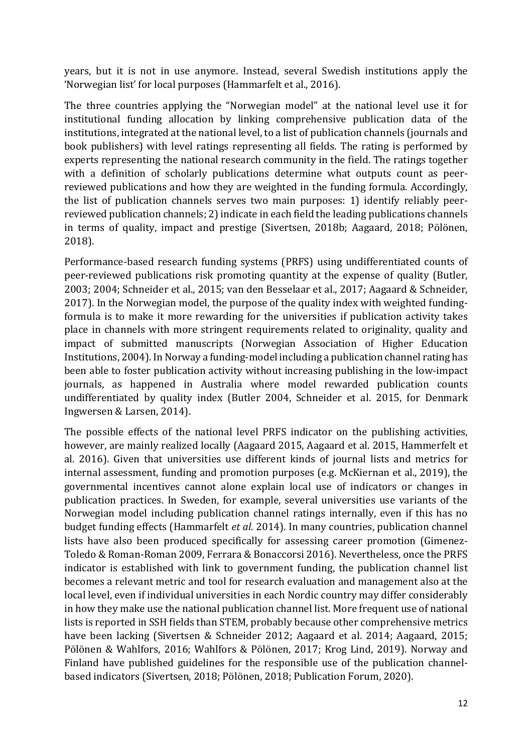years, but it is not in use anymore. Instead, several Swedish institutions apply the 'Norwegian list' for local purposes (Hammarfelt et al., 2016).

The three countries applying the "Norwegian model" at the national level use it for institutional funding allocation by linking comprehensive publication data of the institutions, integrated at the national level, to a list of publication channels (journals and book publishers) with level ratings representing all fields. The rating is performed by experts representing the national research community in the field. The ratings together with a definition of scholarly publications determine what outputs count as peerreviewed publications and how they are weighted in the funding formula. Accordingly, the list of publication channels serves two main purposes: 1) identify reliably peerreviewed publication channels; 2) indicate in each field the leading publications channels in terms of quality, impact and prestige (Sivertsen, 2018b; Aagaard, 2018; Pölönen, 2018). 

Performance-based research funding systems (PRFS) using undifferentiated counts of peer-reviewed publications risk promoting quantity at the expense of quality (Butler, 2003; 2004; Schneider et al., 2015; van den Besselaar et al., 2017; Aagaard & Schneider, 2017). In the Norwegian model, the purpose of the quality index with weighted fundingformula is to make it more rewarding for the universities if publication activity takes place in channels with more stringent requirements related to originality, quality and impact of submitted manuscripts (Norwegian Association of Higher Education Institutions, 2004). In Norway a funding-model including a publication channel rating has been able to foster publication activity without increasing publishing in the low-impact journals, as happened in Australia where model rewarded publication counts undifferentiated by quality index (Butler 2004, Schneider et al. 2015, for Denmark Ingwersen & Larsen, 2014).

The possible effects of the national level PRFS indicator on the publishing activities, however, are mainly realized locally (Aagaard 2015, Aagaard et al. 2015, Hammerfelt et al. 2016). Given that universities use different kinds of journal lists and metrics for internal assessment, funding and promotion purposes (e.g. McKiernan et al., 2019), the governmental incentives cannot alone explain local use of indicators or changes in publication practices. In Sweden, for example, several universities use variants of the Norwegian model including publication channel ratings internally, even if this has no budget funding effects (Hammarfelt *et al.* 2014). In many countries, publication channel lists have also been produced specifically for assessing career promotion (Gimenez-Toledo & Roman-Roman 2009, Ferrara & Bonaccorsi 2016). Nevertheless, once the PRFS indicator is established with link to government funding, the publication channel list becomes a relevant metric and tool for research evaluation and management also at the local level, even if individual universities in each Nordic country may differ considerably in how they make use the national publication channel list. More frequent use of national lists is reported in SSH fields than STEM, probably because other comprehensive metrics have been lacking (Sivertsen & Schneider 2012; Aagaard et al. 2014; Aagaard, 2015; Pölönen & Wahlfors, 2016; Wahlfors & Pölönen, 2017; Krog Lind, 2019). Norway and Finland have published guidelines for the responsible use of the publication channelbased indicators (Sivertsen, 2018; Pölönen, 2018; Publication Forum, 2020).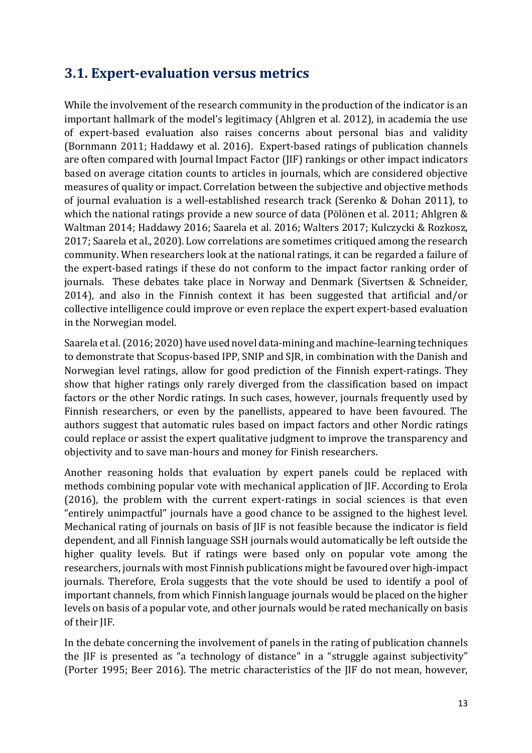### **3.1. Expert-evaluation versus metrics**

While the involvement of the research community in the production of the indicator is an important hallmark of the model's legitimacy (Ahlgren et al. 2012), in academia the use of expert-based evaluation also raises concerns about personal bias and validity (Bornmann 2011; Haddawy et al. 2016). Expert-based ratings of publication channels are often compared with Journal Impact Factor (JIF) rankings or other impact indicators based on average citation counts to articles in journals, which are considered objective measures of quality or impact. Correlation between the subjective and objective methods of journal evaluation is a well-established research track (Serenko & Dohan 2011), to which the national ratings provide a new source of data (Pölönen et al. 2011; Ahlgren  $&$ Waltman 2014; Haddawy 2016; Saarela et al. 2016; Walters 2017; Kulczycki & Rozkosz, 2017; Saarela et al., 2020). Low correlations are sometimes critiqued among the research community. When researchers look at the national ratings, it can be regarded a failure of the expert-based ratings if these do not conform to the impact factor ranking order of journals. These debates take place in Norway and Denmark (Sivertsen & Schneider, 2014), and also in the Finnish context it has been suggested that artificial and/or collective intelligence could improve or even replace the expert expert-based evaluation in the Norwegian model.

Saarela et al. (2016; 2020) have used novel data-mining and machine-learning techniques to demonstrate that Scopus-based IPP, SNIP and SJR, in combination with the Danish and Norwegian level ratings, allow for good prediction of the Finnish expert-ratings. They show that higher ratings only rarely diverged from the classification based on impact factors or the other Nordic ratings. In such cases, however, journals frequently used by Finnish researchers, or even by the panellists, appeared to have been favoured. The authors suggest that automatic rules based on impact factors and other Nordic ratings could replace or assist the expert qualitative judgment to improve the transparency and objectivity and to save man-hours and money for Finish researchers.

Another reasoning holds that evaluation by expert panels could be replaced with methods combining popular vote with mechanical application of JIF. According to Erola  $(2016)$ , the problem with the current expert-ratings in social sciences is that even "entirely unimpactful" journals have a good chance to be assigned to the highest level. Mechanical rating of journals on basis of IIF is not feasible because the indicator is field dependent, and all Finnish language SSH journals would automatically be left outside the higher quality levels. But if ratings were based only on popular vote among the researchers, journals with most Finnish publications might be favoured over high-impact journals. Therefore, Erola suggests that the vote should be used to identify a pool of important channels, from which Finnish language journals would be placed on the higher levels on basis of a popular vote, and other journals would be rated mechanically on basis of their IIF.

In the debate concerning the involvement of panels in the rating of publication channels the  $IIF$  is presented as "a technology of distance" in a "struggle against subjectivity" (Porter 1995; Beer 2016). The metric characteristics of the JIF do not mean, however,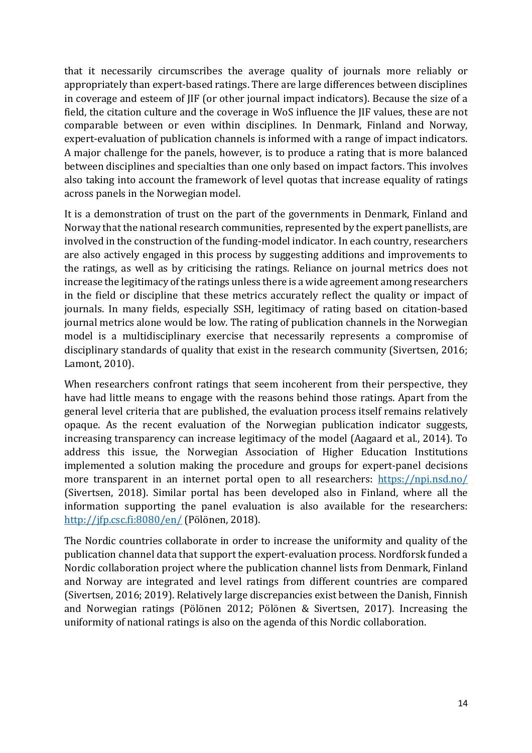that it necessarily circumscribes the average quality of journals more reliably or appropriately than expert-based ratings. There are large differences between disciplines in coverage and esteem of JIF (or other journal impact indicators). Because the size of a field, the citation culture and the coverage in WoS influence the JIF values, these are not comparable between or even within disciplines. In Denmark, Finland and Norway, expert-evaluation of publication channels is informed with a range of impact indicators. A major challenge for the panels, however, is to produce a rating that is more balanced between disciplines and specialties than one only based on impact factors. This involves also taking into account the framework of level quotas that increase equality of ratings across panels in the Norwegian model.

It is a demonstration of trust on the part of the governments in Denmark, Finland and Norway that the national research communities, represented by the expert panellists, are involved in the construction of the funding-model indicator. In each country, researchers are also actively engaged in this process by suggesting additions and improvements to the ratings, as well as by criticising the ratings. Reliance on journal metrics does not increase the legitimacy of the ratings unless there is a wide agreement among researchers in the field or discipline that these metrics accurately reflect the quality or impact of journals. In many fields, especially SSH, legitimacy of rating based on citation-based journal metrics alone would be low. The rating of publication channels in the Norwegian model is a multidisciplinary exercise that necessarily represents a compromise of disciplinary standards of quality that exist in the research community (Sivertsen, 2016; Lamont, 2010).

When researchers confront ratings that seem incoherent from their perspective, they have had little means to engage with the reasons behind those ratings. Apart from the general level criteria that are published, the evaluation process itself remains relatively opaque. As the recent evaluation of the Norwegian publication indicator suggests, increasing transparency can increase legitimacy of the model (Aagaard et al., 2014). To address this issue, the Norwegian Association of Higher Education Institutions implemented a solution making the procedure and groups for expert-panel decisions more transparent in an internet portal open to all researchers: https://npi.nsd.no/ (Sivertsen, 2018). Similar portal has been developed also in Finland, where all the information supporting the panel evaluation is also available for the researchers: http://jfp.csc.fi:8080/en/ (Pölönen, 2018).

The Nordic countries collaborate in order to increase the uniformity and quality of the publication channel data that support the expert-evaluation process. Nordforsk funded a Nordic collaboration project where the publication channel lists from Denmark, Finland and Norway are integrated and level ratings from different countries are compared (Sivertsen, 2016; 2019). Relatively large discrepancies exist between the Danish, Finnish and Norwegian ratings (Pölönen 2012; Pölönen & Sivertsen, 2017). Increasing the uniformity of national ratings is also on the agenda of this Nordic collaboration.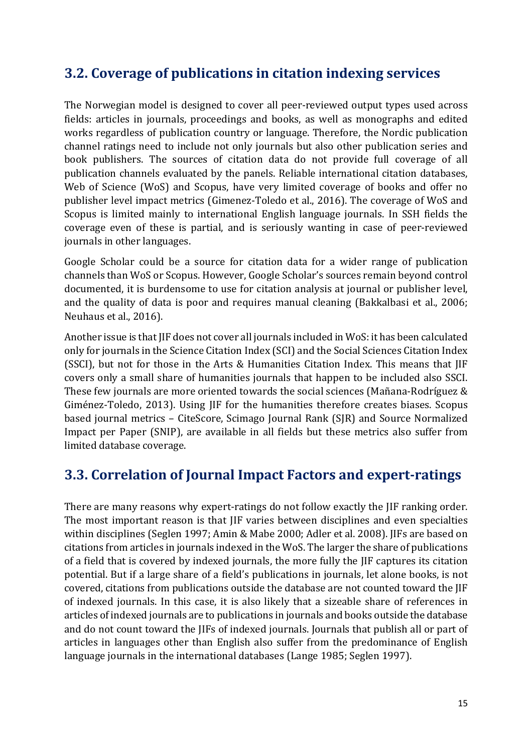### **3.2. Coverage of publications in citation indexing services**

The Norwegian model is designed to cover all peer-reviewed output types used across fields: articles in journals, proceedings and books, as well as monographs and edited works regardless of publication country or language. Therefore, the Nordic publication channel ratings need to include not only journals but also other publication series and book publishers. The sources of citation data do not provide full coverage of all publication channels evaluated by the panels. Reliable international citation databases, Web of Science (WoS) and Scopus, have very limited coverage of books and offer no publisher level impact metrics (Gimenez-Toledo et al., 2016). The coverage of WoS and Scopus is limited mainly to international English language journals. In SSH fields the coverage even of these is partial, and is seriously wanting in case of peer-reviewed journals in other languages.

Google Scholar could be a source for citation data for a wider range of publication channels than WoS or Scopus. However, Google Scholar's sources remain beyond control documented, it is burdensome to use for citation analysis at journal or publisher level. and the quality of data is poor and requires manual cleaning (Bakkalbasi et al., 2006; Neuhaus et al., 2016).

Another issue is that JIF does not cover all journals included in WoS: it has been calculated only for journals in the Science Citation Index (SCI) and the Social Sciences Citation Index (SSCI), but not for those in the Arts & Humanities Citation Index. This means that JIF covers only a small share of humanities journals that happen to be included also SSCI. These few journals are more oriented towards the social sciences (Mañana-Rodríguez  $&$ Giménez-Toledo, 2013). Using JIF for the humanities therefore creates biases. Scopus based iournal metrics – CiteScore, Scimago Journal Rank (SIR) and Source Normalized Impact per Paper (SNIP), are available in all fields but these metrics also suffer from limited database coverage.

### **3.3. Correlation of Journal Impact Factors and expert-ratings**

There are many reasons why expert-ratings do not follow exactly the JIF ranking order. The most important reason is that JIF varies between disciplines and even specialties within disciplines (Seglen 1997; Amin & Mabe 2000; Adler et al. 2008). JIFs are based on citations from articles in journals indexed in the WoS. The larger the share of publications of a field that is covered by indexed journals, the more fully the JIF captures its citation potential. But if a large share of a field's publications in journals, let alone books, is not covered, citations from publications outside the database are not counted toward the JIF of indexed journals. In this case, it is also likely that a sizeable share of references in articles of indexed journals are to publications in journals and books outside the database and do not count toward the IIFs of indexed journals. Journals that publish all or part of articles in languages other than English also suffer from the predominance of English language journals in the international databases (Lange 1985; Seglen 1997).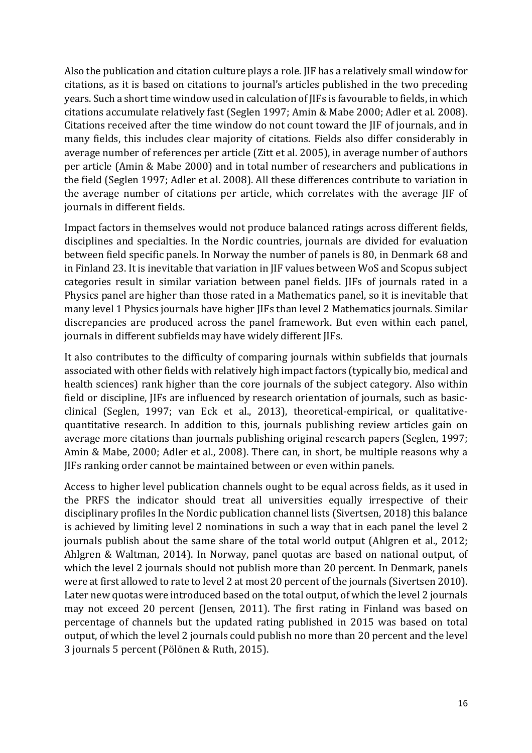Also the publication and citation culture plays a role. IIF has a relatively small window for citations, as it is based on citations to journal's articles published in the two preceding years. Such a short time window used in calculation of JIFs is favourable to fields, in which citations accumulate relatively fast (Seglen 1997; Amin & Mabe 2000; Adler et al. 2008). Citations received after the time window do not count toward the JIF of journals, and in many fields, this includes clear majority of citations. Fields also differ considerably in average number of references per article (Zitt et al. 2005), in average number of authors per article (Amin & Mabe 2000) and in total number of researchers and publications in the field (Seglen 1997; Adler et al. 2008). All these differences contribute to variation in the average number of citations per article, which correlates with the average IIF of journals in different fields.

Impact factors in themselves would not produce balanced ratings across different fields, disciplines and specialties. In the Nordic countries, journals are divided for evaluation between field specific panels. In Norway the number of panels is 80, in Denmark 68 and in Finland 23. It is inevitable that variation in JIF values between WoS and Scopus subject categories result in similar variation between panel fields. IIFs of journals rated in a Physics panel are higher than those rated in a Mathematics panel, so it is inevitable that many level 1 Physics journals have higher JIFs than level 2 Mathematics journals. Similar discrepancies are produced across the panel framework. But even within each panel, journals in different subfields may have widely different JIFs.

It also contributes to the difficulty of comparing journals within subfields that journals associated with other fields with relatively high impact factors (typically bio, medical and health sciences) rank higher than the core journals of the subject category. Also within field or discipline, IIFs are influenced by research orientation of journals, such as basicclinical (Seglen, 1997; van Eck et al., 2013), theoretical-empirical, or qualitativequantitative research. In addition to this, journals publishing review articles gain on average more citations than journals publishing original research papers (Seglen, 1997; Amin & Mabe, 2000; Adler et al., 2008). There can, in short, be multiple reasons why a JIFs ranking order cannot be maintained between or even within panels.

Access to higher level publication channels ought to be equal across fields, as it used in the PRFS the indicator should treat all universities equally irrespective of their disciplinary profiles In the Nordic publication channel lists (Sivertsen, 2018) this balance is achieved by limiting level 2 nominations in such a way that in each panel the level 2 journals publish about the same share of the total world output (Ahlgren et al., 2012; Ahlgren & Waltman, 2014). In Norway, panel quotas are based on national output, of which the level 2 journals should not publish more than 20 percent. In Denmark, panels were at first allowed to rate to level 2 at most 20 percent of the journals (Sivertsen 2010). Later new quotas were introduced based on the total output, of which the level 2 journals may not exceed 20 percent (Jensen, 2011). The first rating in Finland was based on percentage of channels but the updated rating published in 2015 was based on total output, of which the level 2 journals could publish no more than 20 percent and the level 3 journals 5 percent (Pölönen & Ruth, 2015).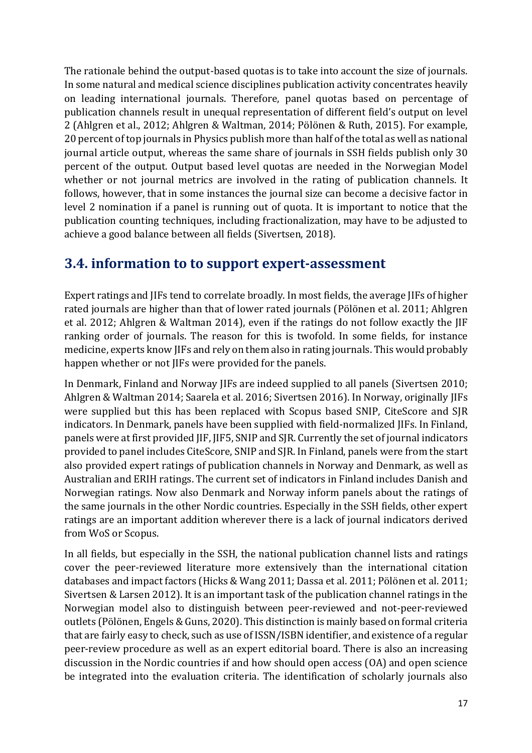The rationale behind the output-based quotas is to take into account the size of journals. In some natural and medical science disciplines publication activity concentrates heavily on leading international journals. Therefore, panel quotas based on percentage of publication channels result in unequal representation of different field's output on level 2 (Ahlgren et al., 2012; Ahlgren & Waltman, 2014; Pölönen & Ruth, 2015). For example, 20 percent of top journals in Physics publish more than half of the total as well as national journal article output, whereas the same share of journals in SSH fields publish only 30 percent of the output. Output based level quotas are needed in the Norwegian Model whether or not journal metrics are involved in the rating of publication channels. It follows, however, that in some instances the journal size can become a decisive factor in level 2 nomination if a panel is running out of quota. It is important to notice that the publication counting techniques, including fractionalization, may have to be adjusted to achieve a good balance between all fields (Sivertsen, 2018).

### **3.4. information to to support expert-assessment**

Expert ratings and JIFs tend to correlate broadly. In most fields, the average JIFs of higher rated journals are higher than that of lower rated journals (Pölönen et al. 2011; Ahlgren et al. 2012; Ahlgren & Waltman 2014), even if the ratings do not follow exactly the JIF ranking order of journals. The reason for this is twofold. In some fields, for instance medicine, experts know JIFs and rely on them also in rating journals. This would probably happen whether or not JIFs were provided for the panels.

In Denmark, Finland and Norway JIFs are indeed supplied to all panels (Sivertsen 2010; Ahlgren & Waltman 2014; Saarela et al. 2016; Sivertsen 2016). In Norway, originally JIFs were supplied but this has been replaced with Scopus based SNIP, CiteScore and SJR indicators. In Denmark, panels have been supplied with field-normalized JIFs. In Finland, panels were at first provided IIF, IIF5, SNIP and SIR. Currently the set of journal indicators provided to panel includes CiteScore, SNIP and SJR. In Finland, panels were from the start also provided expert ratings of publication channels in Norway and Denmark, as well as Australian and ERIH ratings. The current set of indicators in Finland includes Danish and Norwegian ratings. Now also Denmark and Norway inform panels about the ratings of the same journals in the other Nordic countries. Especially in the SSH fields, other expert ratings are an important addition wherever there is a lack of journal indicators derived from WoS or Scopus.

In all fields, but especially in the SSH, the national publication channel lists and ratings cover the peer-reviewed literature more extensively than the international citation databases and impact factors (Hicks & Wang 2011; Dassa et al. 2011; Pölönen et al. 2011; Sivertsen & Larsen 2012). It is an important task of the publication channel ratings in the Norwegian model also to distinguish between peer-reviewed and not-peer-reviewed outlets (Pölönen, Engels & Guns, 2020). This distinction is mainly based on formal criteria that are fairly easy to check, such as use of ISSN/ISBN identifier, and existence of a regular peer-review procedure as well as an expert editorial board. There is also an increasing discussion in the Nordic countries if and how should open access (OA) and open science be integrated into the evaluation criteria. The identification of scholarly journals also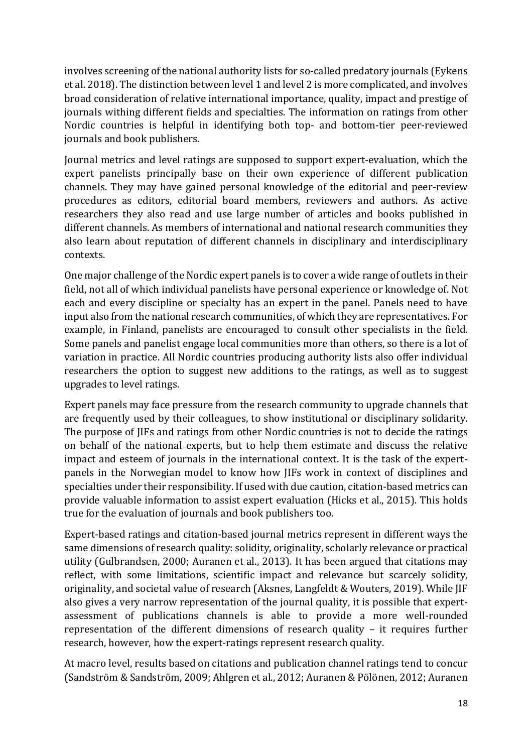involves screening of the national authority lists for so-called predatory journals (Eykens et al. 2018). The distinction between level 1 and level 2 is more complicated, and involves broad consideration of relative international importance, quality, impact and prestige of journals withing different fields and specialties. The information on ratings from other Nordic countries is helpful in identifying both top- and bottom-tier peer-reviewed journals and book publishers.

Journal metrics and level ratings are supposed to support expert-evaluation, which the expert panelists principally base on their own experience of different publication channels. They may have gained personal knowledge of the editorial and peer-review procedures as editors, editorial board members, reviewers and authors. As active researchers they also read and use large number of articles and books published in different channels. As members of international and national research communities they also learn about reputation of different channels in disciplinary and interdisciplinary contexts. 

One major challenge of the Nordic expert panels is to cover a wide range of outlets in their field, not all of which individual panelists have personal experience or knowledge of. Not each and every discipline or specialty has an expert in the panel. Panels need to have input also from the national research communities, of which they are representatives. For example, in Finland, panelists are encouraged to consult other specialists in the field. Some panels and panelist engage local communities more than others, so there is a lot of variation in practice. All Nordic countries producing authority lists also offer individual researchers the option to suggest new additions to the ratings, as well as to suggest upgrades to level ratings.

Expert panels may face pressure from the research community to upgrade channels that are frequently used by their colleagues, to show institutional or disciplinary solidarity. The purpose of JIFs and ratings from other Nordic countries is not to decide the ratings on behalf of the national experts, but to help them estimate and discuss the relative impact and esteem of journals in the international context. It is the task of the expertpanels in the Norwegian model to know how IIFs work in context of disciplines and specialties under their responsibility. If used with due caution, citation-based metrics can provide valuable information to assist expert evaluation (Hicks et al., 2015). This holds true for the evaluation of journals and book publishers too.

Expert-based ratings and citation-based journal metrics represent in different ways the same dimensions of research quality: solidity, originality, scholarly relevance or practical utility (Gulbrandsen, 2000; Auranen et al., 2013). It has been argued that citations may reflect, with some limitations, scientific impact and relevance but scarcely solidity, originality, and societal value of research (Aksnes, Langfeldt & Wouters, 2019). While JIF also gives a very narrow representation of the journal quality, it is possible that expertassessment of publications channels is able to provide a more well-rounded representation of the different dimensions of research quality  $-$  it requires further research, however, how the expert-ratings represent research quality.

At macro level, results based on citations and publication channel ratings tend to concur (Sandström & Sandström, 2009; Ahlgren et al., 2012; Auranen & Pölönen, 2012; Auranen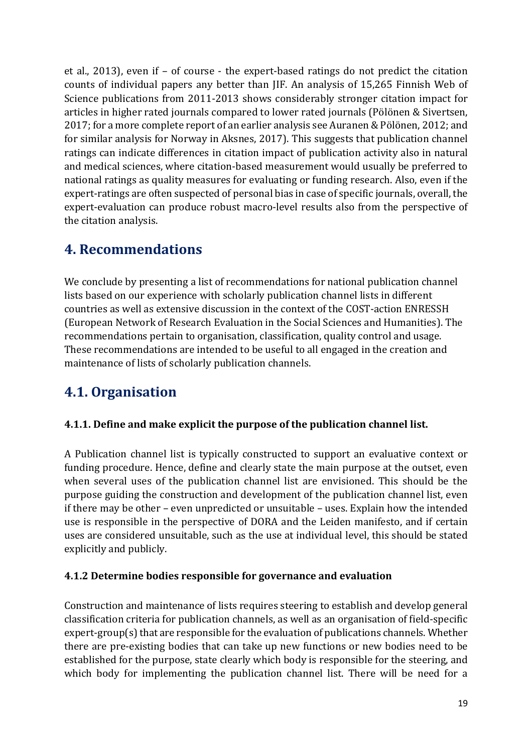et al., 2013), even if  $-$  of course  $-$  the expert-based ratings do not predict the citation counts of individual papers any better than JIF. An analysis of 15,265 Finnish Web of Science publications from 2011-2013 shows considerably stronger citation impact for articles in higher rated journals compared to lower rated journals (Pölönen & Sivertsen, 2017; for a more complete report of an earlier analysis see Auranen & Pölönen, 2012; and for similar analysis for Norway in Aksnes, 2017). This suggests that publication channel ratings can indicate differences in citation impact of publication activity also in natural and medical sciences, where citation-based measurement would usually be preferred to national ratings as quality measures for evaluating or funding research. Also, even if the expert-ratings are often suspected of personal bias in case of specific journals, overall, the expert-evaluation can produce robust macro-level results also from the perspective of the citation analysis.

## **4. Recommendations**

We conclude by presenting a list of recommendations for national publication channel lists based on our experience with scholarly publication channel lists in different countries as well as extensive discussion in the context of the COST-action ENRESSH (European Network of Research Evaluation in the Social Sciences and Humanities). The recommendations pertain to organisation, classification, quality control and usage. These recommendations are intended to be useful to all engaged in the creation and maintenance of lists of scholarly publication channels.

# **4.1. Organisation**

#### **4.1.1.** Define and make explicit the purpose of the publication channel list.

A Publication channel list is typically constructed to support an evaluative context or funding procedure. Hence, define and clearly state the main purpose at the outset, even when several uses of the publication channel list are envisioned. This should be the purpose guiding the construction and development of the publication channel list, even if there may be other – even unpredicted or unsuitable – uses. Explain how the intended use is responsible in the perspective of DORA and the Leiden manifesto, and if certain uses are considered unsuitable, such as the use at individual level, this should be stated explicitly and publicly.

#### **4.1.2 Determine bodies responsible for governance and evaluation**

Construction and maintenance of lists requires steering to establish and develop general classification criteria for publication channels, as well as an organisation of field-specific  $expert-group(s)$  that are responsible for the evaluation of publications channels. Whether there are pre-existing bodies that can take up new functions or new bodies need to be established for the purpose, state clearly which body is responsible for the steering, and which body for implementing the publication channel list. There will be need for a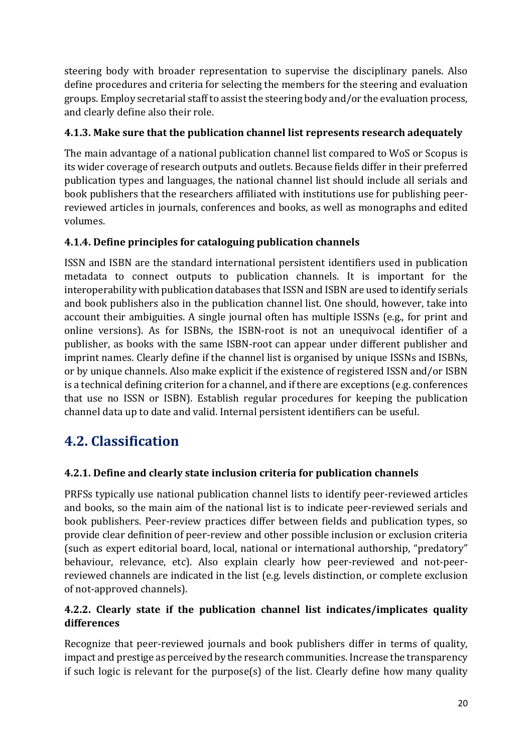steering body with broader representation to supervise the disciplinary panels. Also define procedures and criteria for selecting the members for the steering and evaluation groups. Employ secretarial staff to assist the steering body and/or the evaluation process, and clearly define also their role.

#### **4.1.3. Make sure that the publication channel list represents research adequately**

The main advantage of a national publication channel list compared to WoS or Scopus is its wider coverage of research outputs and outlets. Because fields differ in their preferred publication types and languages, the national channel list should include all serials and book publishers that the researchers affiliated with institutions use for publishing peerreviewed articles in journals, conferences and books, as well as monographs and edited volumes.

#### **4.1.4. Define principles for cataloguing publication channels**

ISSN and ISBN are the standard international persistent identifiers used in publication metadata to connect outputs to publication channels. It is important for the interoperability with publication databases that ISSN and ISBN are used to identify serials and book publishers also in the publication channel list. One should, however, take into account their ambiguities. A single journal often has multiple ISSNs (e.g., for print and online versions). As for ISBNs, the ISBN-root is not an unequivocal identifier of a publisher, as books with the same ISBN-root can appear under different publisher and imprint names. Clearly define if the channel list is organised by unique ISSNs and ISBNs, or by unique channels. Also make explicit if the existence of registered ISSN and/or ISBN is a technical defining criterion for a channel, and if there are exceptions (e.g. conferences that use no ISSN or ISBN). Establish regular procedures for keeping the publication channel data up to date and valid. Internal persistent identifiers can be useful.

# **4.2. Classification**

#### **4.2.1. Define and clearly state inclusion criteria for publication channels**

PRFSs typically use national publication channel lists to identify peer-reviewed articles and books, so the main aim of the national list is to indicate peer-reviewed serials and book publishers. Peer-review practices differ between fields and publication types, so provide clear definition of peer-review and other possible inclusion or exclusion criteria (such as expert editorial board, local, national or international authorship, "predatory" behaviour, relevance, etc). Also explain clearly how peer-reviewed and not-peerreviewed channels are indicated in the list (e.g. levels distinction, or complete exclusion of not-approved channels).

#### **4.2.2. Clearly state if the publication channel list indicates/implicates quality differences**

Recognize that peer-reviewed journals and book publishers differ in terms of quality, impact and prestige as perceived by the research communities. Increase the transparency if such logic is relevant for the purpose(s) of the list. Clearly define how many quality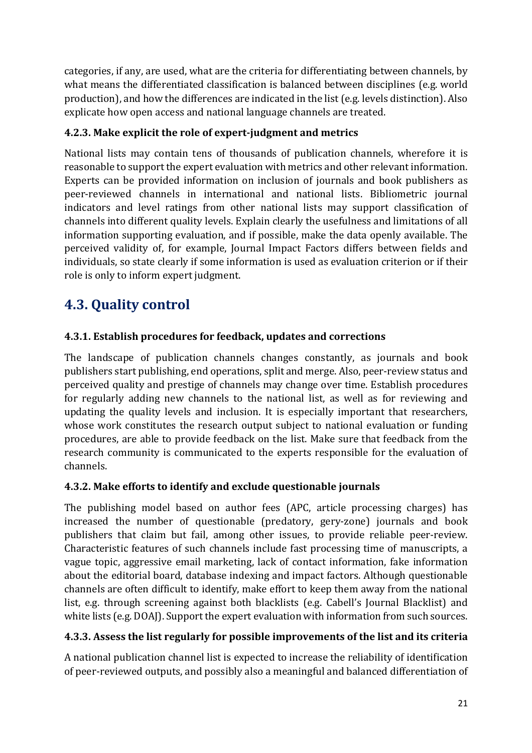categories, if any, are used, what are the criteria for differentiating between channels, by what means the differentiated classification is balanced between disciplines (e.g. world production), and how the differences are indicated in the list (e.g. levels distinction). Also explicate how open access and national language channels are treated.

#### **4.2.3. Make explicit the role of expert-judgment and metrics**

National lists may contain tens of thousands of publication channels, wherefore it is reasonable to support the expert evaluation with metrics and other relevant information. Experts can be provided information on inclusion of journals and book publishers as peer-reviewed channels in international and national lists. Bibliometric journal indicators and level ratings from other national lists may support classification of channels into different quality levels. Explain clearly the usefulness and limitations of all information supporting evaluation, and if possible, make the data openly available. The perceived validity of, for example, Journal Impact Factors differs between fields and individuals, so state clearly if some information is used as evaluation criterion or if their role is only to inform expert judgment.

# **4.3. Quality control**

### **4.3.1. Establish procedures for feedback, updates and corrections**

The landscape of publication channels changes constantly, as journals and book publishers start publishing, end operations, split and merge. Also, peer-review status and perceived quality and prestige of channels may change over time. Establish procedures for regularly adding new channels to the national list, as well as for reviewing and updating the quality levels and inclusion. It is especially important that researchers, whose work constitutes the research output subject to national evaluation or funding procedures, are able to provide feedback on the list. Make sure that feedback from the research community is communicated to the experts responsible for the evaluation of channels.

#### **4.3.2. Make efforts to identify and exclude questionable journals**

The publishing model based on author fees (APC, article processing charges) has increased the number of questionable (predatory, gery-zone) journals and book publishers that claim but fail, among other issues, to provide reliable peer-review. Characteristic features of such channels include fast processing time of manuscripts, a vague topic, aggressive email marketing, lack of contact information, fake information about the editorial board, database indexing and impact factors. Although questionable channels are often difficult to identify, make effort to keep them away from the national list, e.g. through screening against both blacklists (e.g. Cabell's Journal Blacklist) and white lists (e.g. DOAJ). Support the expert evaluation with information from such sources.

#### **4.3.3. Assess the list regularly for possible improvements of the list and its criteria**

A national publication channel list is expected to increase the reliability of identification of peer-reviewed outputs, and possibly also a meaningful and balanced differentiation of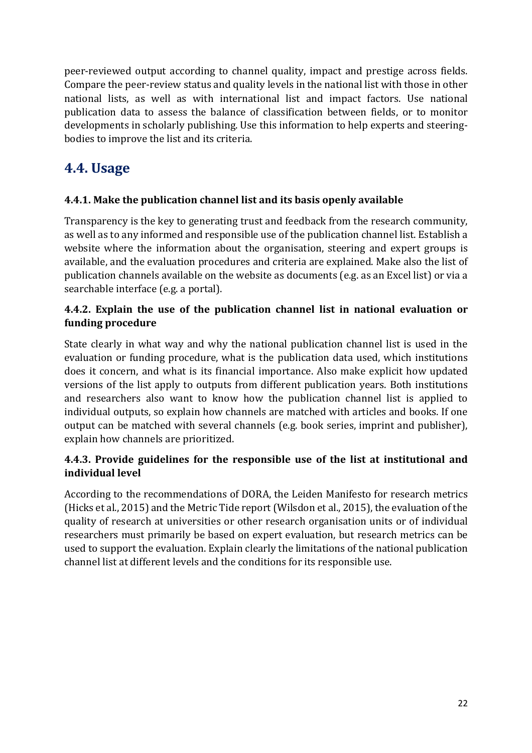peer-reviewed output according to channel quality, impact and prestige across fields. Compare the peer-review status and quality levels in the national list with those in other national lists, as well as with international list and impact factors. Use national publication data to assess the balance of classification between fields, or to monitor developments in scholarly publishing. Use this information to help experts and steeringbodies to improve the list and its criteria.

# **4.4. Usage**

#### **4.4.1.** Make the publication channel list and its basis openly available

Transparency is the key to generating trust and feedback from the research community, as well as to any informed and responsible use of the publication channel list. Establish a website where the information about the organisation, steering and expert groups is available, and the evaluation procedures and criteria are explained. Make also the list of publication channels available on the website as documents (e.g. as an Excel list) or via a searchable interface (e.g. a portal).

#### **4.4.2.** Explain the use of the publication channel list in national evaluation or **funding procedure**

State clearly in what way and why the national publication channel list is used in the evaluation or funding procedure, what is the publication data used, which institutions does it concern, and what is its financial importance. Also make explicit how updated versions of the list apply to outputs from different publication years. Both institutions and researchers also want to know how the publication channel list is applied to individual outputs, so explain how channels are matched with articles and books. If one output can be matched with several channels (e.g. book series, imprint and publisher), explain how channels are prioritized.

#### **4.4.3.** Provide guidelines for the responsible use of the list at institutional and **individual level**

According to the recommendations of DORA, the Leiden Manifesto for research metrics (Hicks et al., 2015) and the Metric Tide report (Wilsdon et al., 2015), the evaluation of the quality of research at universities or other research organisation units or of individual researchers must primarily be based on expert evaluation, but research metrics can be used to support the evaluation. Explain clearly the limitations of the national publication channel list at different levels and the conditions for its responsible use.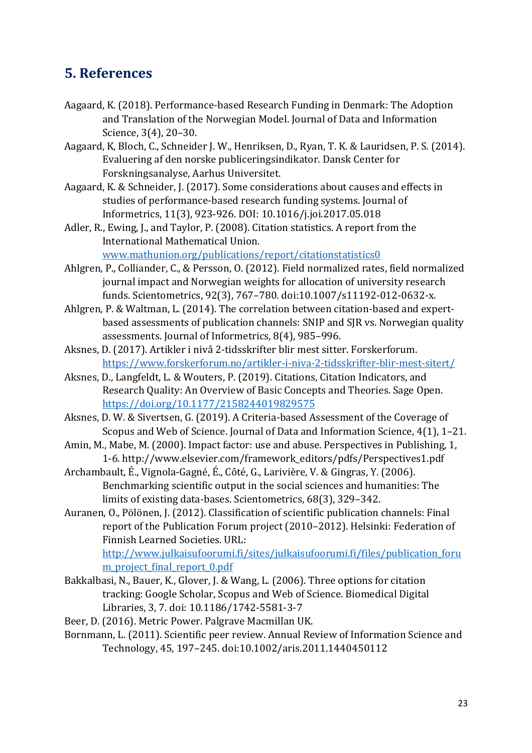### **5. References**

- Aagaard, K. (2018). Performance-based Research Funding in Denmark: The Adoption and Translation of the Norwegian Model. Journal of Data and Information Science, 3(4), 20-30.
- Aagaard, K, Bloch, C., Schneider J. W., Henriksen, D., Ryan, T. K. & Lauridsen, P. S. (2014). Evaluering af den norske publiceringsindikator. Dansk Center for Forskningsanalyse, Aarhus Universitet.
- Aagaard, K. & Schneider, J. (2017). Some considerations about causes and effects in studies of performance-based research funding systems. Journal of Informetrics, 11(3), 923-926. DOI: 10.1016/j.joi.2017.05.018
- Adler, R., Ewing, J., and Taylor, P. (2008). Citation statistics. A report from the International Mathematical Union. www.mathunion.org/publications/report/citationstatistics0
- Ahlgren, P., Colliander, C., & Persson, O. (2012). Field normalized rates, field normalized journal impact and Norwegian weights for allocation of university research funds. Scientometrics, 92(3), 767-780. doi:10.1007/s11192-012-0632-x.
- Ahlgren, P. & Waltman, L. (2014). The correlation between citation-based and expertbased assessments of publication channels: SNIP and SJR vs. Norwegian quality assessments. Journal of Informetrics, 8(4), 985-996.
- Aksnes, D. (2017). Artikler i nivå 2-tidsskrifter blir mest sitter. Forskerforum. https://www.forskerforum.no/artikler-i-niva-2-tidsskrifter-blir-mest-sitert/
- Aksnes, D., Langfeldt, L. & Wouters, P. (2019). Citations, Citation Indicators, and Research Quality: An Overview of Basic Concepts and Theories. Sage Open. https://doi.org/10.1177/2158244019829575
- Aksnes, D. W. & Sivertsen, G. (2019). A Criteria-based Assessment of the Coverage of Scopus and Web of Science. Journal of Data and Information Science, 4(1), 1-21.
- Amin, M., Mabe, M. (2000). Impact factor: use and abuse. Perspectives in Publishing, 1, 1-6. http://www.elsevier.com/framework\_editors/pdfs/Perspectives1.pdf
- Archambault, É., Vignola-Gagné, É., Côté, G., Larivière, V. & Gingras, Y. (2006). Benchmarking scientific output in the social sciences and humanities: The limits of existing data-bases. Scientometrics, 68(3), 329-342.
- Auranen, O., Pölönen, J. (2012). Classification of scientific publication channels: Final report of the Publication Forum project (2010–2012). Helsinki: Federation of Finnish Learned Societies. URL:

http://www.julkaisufoorumi.fi/sites/julkaisufoorumi.fi/files/publication\_foru m\_project\_final\_report\_0.pdf

- Bakkalbasi, N., Bauer, K., Glover, J. & Wang, L. (2006). Three options for citation tracking: Google Scholar, Scopus and Web of Science. Biomedical Digital Libraries, 3, 7. doi: 10.1186/1742-5581-3-7
- Beer, D. (2016). Metric Power. Palgrave Macmillan UK.
- Bornmann, L. (2011). Scientific peer review. Annual Review of Information Science and Technology, 45, 197–245. doi:10.1002/aris.2011.1440450112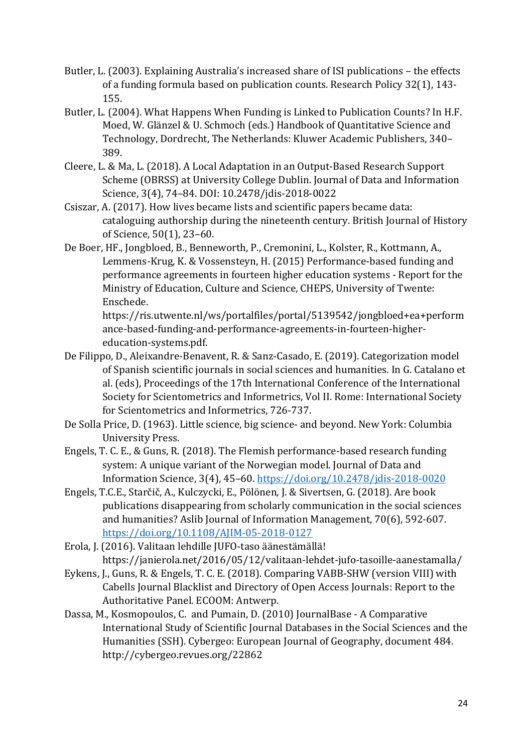- Butler, L. (2003). Explaining Australia's increased share of ISI publications the effects of a funding formula based on publication counts. Research Policy 32(1), 143-155.
- Butler, L. (2004). What Happens When Funding is Linked to Publication Counts? In H.F. Moed, W. Glänzel & U. Schmoch (eds.) Handbook of Quantitative Science and Technology, Dordrecht, The Netherlands: Kluwer Academic Publishers, 340-389.
- Cleere, L. & Ma, L. (2018). A Local Adaptation in an Output-Based Research Support Scheme (OBRSS) at University College Dublin. Journal of Data and Information Science, 3(4), 74-84. DOI: 10.2478/jdis-2018-0022
- Csiszar, A. (2017). How lives became lists and scientific papers became data: cataloguing authorship during the nineteenth century. British Journal of History of Science, 50(1), 23-60.
- De Boer, HF., Jongbloed, B., Benneworth, P., Cremonini, L., Kolster, R., Kottmann, A., Lemmens-Krug, K. & Vossensteyn, H. (2015) Performance-based funding and performance agreements in fourteen higher education systems - Report for the Ministry of Education, Culture and Science, CHEPS, University of Twente: Enschede.

https://ris.utwente.nl/ws/portalfiles/portal/5139542/jongbloed+ea+perform ance-based-funding-and-performance-agreements-in-fourteen-highereducation-systems.pdf.

- De Filippo, D., Aleixandre-Benavent, R. & Sanz-Casado, E. (2019). Categorization model of Spanish scientific journals in social sciences and humanities. In G. Catalano et al. (eds), Proceedings of the 17th International Conference of the International Society for Scientometrics and Informetrics, Vol II. Rome: International Society for Scientometrics and Informetrics, 726-737.
- De Solla Price, D. (1963). Little science, big science- and beyond. New York: Columbia University Press.
- Engels, T. C. E., & Guns, R. (2018). The Flemish performance-based research funding system: A unique variant of the Norwegian model. Journal of Data and Information Science, 3(4), 45–60. https://doi.org/10.2478/jdis-2018-0020
- Engels, T.C.E., Starčič, A., Kulczycki, E., Pölönen, J. & Sivertsen, G. (2018). Are book publications disappearing from scholarly communication in the social sciences and humanities? Aslib Journal of Information Management, 70(6), 592-607. https://doi.org/10.1108/AJIM-05-2018-0127
- Erola, J. (2016). Valitaan lehdille JUFO-taso äänestämällä! https://janierola.net/2016/05/12/valitaan-lehdet-jufo-tasoille-aanestamalla/
- Eykens, J., Guns, R. & Engels, T. C. E. (2018). Comparing VABB-SHW (version VIII) with Cabells Journal Blacklist and Directory of Open Access Journals: Report to the Authoritative Panel. ECOOM: Antwerp.
- Dassa, M., Kosmopoulos, C. and Pumain, D. (2010) JournalBase A Comparative International Study of Scientific Journal Databases in the Social Sciences and the Humanities (SSH). Cybergeo: European Journal of Geography, document 484. http://cybergeo.revues.org/22862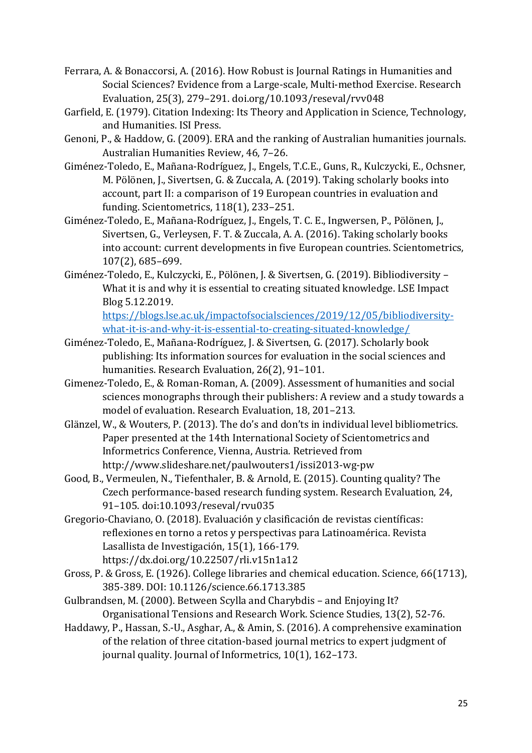- Ferrara, A. & Bonaccorsi, A. (2016). How Robust is Journal Ratings in Humanities and Social Sciences? Evidence from a Large-scale, Multi-method Exercise. Research Evaluation, 25(3), 279-291. doi.org/10.1093/reseval/rvv048
- Garfield, E. (1979). Citation Indexing: Its Theory and Application in Science, Technology, and Humanities. ISI Press.
- Genoni, P., & Haddow, G. (2009). ERA and the ranking of Australian humanities journals. Australian Humanities Review, 46, 7-26.
- Giménez-Toledo, E., Mañana-Rodríguez, J., Engels, T.C.E., Guns, R., Kulczycki, E., Ochsner, M. Pölönen, J., Sivertsen, G. & Zuccala, A. (2019). Taking scholarly books into account, part II: a comparison of 19 European countries in evaluation and funding. Scientometrics, 118(1), 233–251.
- Giménez-Toledo, E., Mañana-Rodríguez, J., Engels, T. C. E., Ingwersen, P., Pölönen, J., Sivertsen, G., Verleysen, F. T. & Zuccala, A. A. (2016). Taking scholarly books into account: current developments in five European countries. Scientometrics, 107(2), 685–699.
- Giménez-Toledo, E., Kulczycki, E., Pölönen, J. & Sivertsen, G. (2019). Bibliodiversity -What it is and why it is essential to creating situated knowledge. LSE Impact Blog 5.12.2019.

https://blogs.lse.ac.uk/impactofsocialsciences/2019/12/05/bibliodiversitywhat-it-is-and-why-it-is-essential-to-creating-situated-knowledge/

- Giménez-Toledo, E., Mañana-Rodríguez, J. & Sivertsen, G. (2017). Scholarly book publishing: Its information sources for evaluation in the social sciences and humanities. Research Evaluation, 26(2), 91-101.
- Gimenez-Toledo, E., & Roman-Roman, A. (2009). Assessment of humanities and social sciences monographs through their publishers: A review and a study towards a model of evaluation. Research Evaluation, 18, 201-213.
- Glänzel, W., & Wouters, P. (2013). The do's and don'ts in individual level bibliometrics. Paper presented at the 14th International Society of Scientometrics and Informetrics Conference, Vienna, Austria. Retrieved from http://www.slideshare.net/paulwouters1/issi2013-wg-pw
- Good, B., Vermeulen, N., Tiefenthaler, B. & Arnold, E. (2015). Counting quality? The Czech performance-based research funding system. Research Evaluation, 24, 91–105. doi:10.1093/reseval/rvu035
- Gregorio-Chaviano, O. (2018). Evaluación y clasificación de revistas científicas: reflexiones en torno a retos y perspectivas para Latinoamérica. Revista Lasallista de Investigación, 15(1), 166-179. https://dx.doi.org/10.22507/rli.v15n1a12
- Gross, P. & Gross, E. (1926). College libraries and chemical education. Science, 66(1713), 385-389. DOI: 10.1126/science.66.1713.385
- Gulbrandsen, M. (2000). Between Scylla and Charybdis and Enjoying It? Organisational Tensions and Research Work. Science Studies, 13(2), 52-76.
- Haddawy, P., Hassan, S.-U., Asghar, A., & Amin, S. (2016). A comprehensive examination of the relation of three citation-based journal metrics to expert judgment of journal quality. Journal of Informetrics, 10(1), 162-173.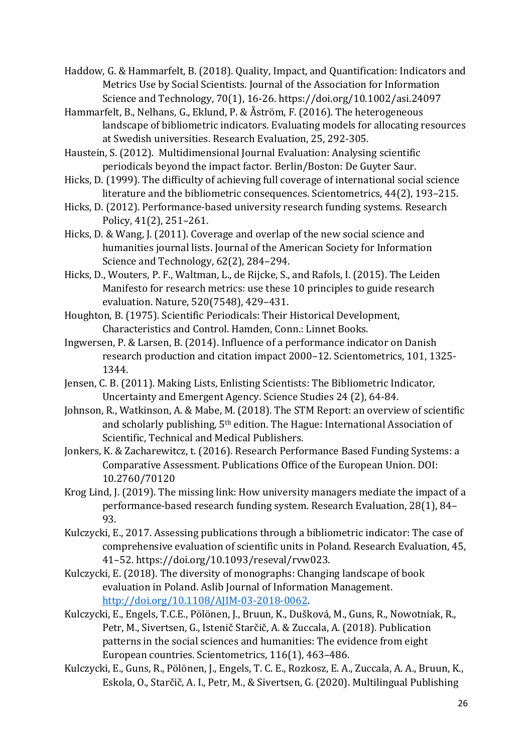Haddow, G. & Hammarfelt, B. (2018). Quality, Impact, and Quantification: Indicators and Metrics Use by Social Scientists. Journal of the Association for Information Science and Technology, 70(1), 16-26. https://doi.org/10.1002/asi.24097

- Hammarfelt, B., Nelhans, G., Eklund, P. & Åström, F. (2016). The heterogeneous landscape of bibliometric indicators. Evaluating models for allocating resources at Swedish universities. Research Evaluation, 25, 292-305.
- Haustein, S. (2012). Multidimensional Journal Evaluation: Analysing scientific periodicals beyond the impact factor. Berlin/Boston: De Guyter Saur.
- Hicks, D. (1999). The difficulty of achieving full coverage of international social science literature and the bibliometric consequences. Scientometrics, 44(2), 193-215.
- Hicks, D. (2012). Performance-based university research funding systems. Research Policy, 41(2), 251–261.
- Hicks, D. & Wang, J. (2011). Coverage and overlap of the new social science and humanities journal lists. Journal of the American Society for Information Science and Technology, 62(2), 284-294.
- Hicks, D., Wouters, P. F., Waltman, L., de Rijcke, S., and Rafols, I. (2015). The Leiden Manifesto for research metrics: use these 10 principles to guide research evaluation. Nature, 520(7548), 429-431.
- Houghton, B. (1975). Scientific Periodicals: Their Historical Development, Characteristics and Control. Hamden, Conn.: Linnet Books.
- Ingwersen, P. & Larsen, B. (2014). Influence of a performance indicator on Danish research production and citation impact 2000–12. Scientometrics, 101, 1325-1344.
- Jensen, C. B. (2011). Making Lists, Enlisting Scientists: The Bibliometric Indicator, Uncertainty and Emergent Agency. Science Studies 24 (2), 64-84.
- Johnson, R., Watkinson, A. & Mabe, M. (2018). The STM Report: an overview of scientific and scholarly publishing,  $5<sup>th</sup>$  edition. The Hague: International Association of Scientific, Technical and Medical Publishers.
- Jonkers, K. & Zacharewitcz, t. (2016). Research Performance Based Funding Systems: a Comparative Assessment. Publications Office of the European Union. DOI: 10.2760/70120
- Krog Lind, J. (2019). The missing link: How university managers mediate the impact of a performance-based research funding system. Research Evaluation, 28(1), 84– 93.
- Kulczycki, E., 2017. Assessing publications through a bibliometric indicator: The case of comprehensive evaluation of scientific units in Poland. Research Evaluation, 45, 41–52. https://doi.org/10.1093/reseval/rvw023.
- Kulczycki, E. (2018). The diversity of monographs: Changing landscape of book evaluation in Poland. Aslib Journal of Information Management. http://doi.org/10.1108/AJIM-03-2018-0062.
- Kulczycki, E., Engels, T.C.E., Pölönen, J., Bruun, K., Dušková, M., Guns, R., Nowotniak, R., Petr, M., Sivertsen, G., Istenič Starčič, A. & Zuccala, A. (2018). Publication patterns in the social sciences and humanities: The evidence from eight European countries. Scientometrics, 116(1), 463-486.
- Kulczycki, E., Guns, R., Pölönen, J., Engels, T. C. E., Rozkosz, E. A., Zuccala, A. A., Bruun, K., Eskola, O., Starčič, A. I., Petr, M., & Sivertsen, G. (2020). Multilingual Publishing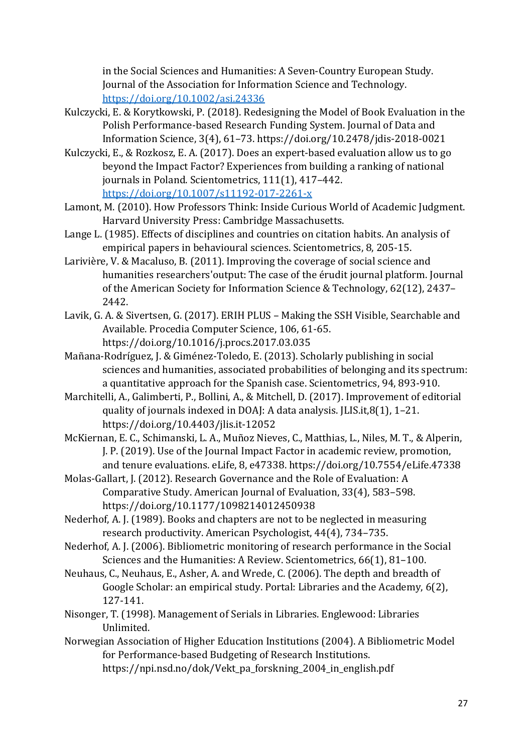in the Social Sciences and Humanities: A Seven-Country European Study. Journal of the Association for Information Science and Technology. https://doi.org/10.1002/asi.24336

- Kulczycki, E. & Korytkowski, P. (2018). Redesigning the Model of Book Evaluation in the Polish Performance-based Research Funding System. Journal of Data and Information Science, 3(4), 61–73. https://doi.org/10.2478/jdis-2018-0021
- Kulczycki, E., & Rozkosz, E. A. (2017). Does an expert-based evaluation allow us to go beyond the Impact Factor? Experiences from building a ranking of national journals in Poland. Scientometrics, 111(1), 417-442. https://doi.org/10.1007/s11192-017-2261-x
- Lamont, M. (2010). How Professors Think: Inside Curious World of Academic Judgment. Harvard University Press: Cambridge Massachusetts.
- Lange L. (1985). Effects of disciplines and countries on citation habits. An analysis of empirical papers in behavioural sciences. Scientometrics, 8, 205-15.
- Larivière, V. & Macaluso, B. (2011). Improving the coverage of social science and humanities researchers'output: The case of the érudit journal platform. Journal of the American Society for Information Science & Technology,  $62(12)$ , 2437– 2442.
- Lavik, G. A. & Sivertsen, G. (2017). ERIH PLUS Making the SSH Visible, Searchable and Available. Procedia Computer Science, 106, 61-65. https://doi.org/10.1016/j.procs.2017.03.035
- Mañana-Rodríguez, J. & Giménez-Toledo, E. (2013). Scholarly publishing in social sciences and humanities, associated probabilities of belonging and its spectrum: a quantitative approach for the Spanish case. Scientometrics, 94, 893-910.
- Marchitelli, A., Galimberti, P., Bollini, A., & Mitchell, D. (2017). Improvement of editorial quality of journals indexed in DOAJ: A data analysis. [LIS.it,8(1), 1-21. https://doi.org/10.4403/jlis.it-12052
- McKiernan, E. C., Schimanski, L. A., Muñoz Nieves, C., Matthias, L., Niles, M. T., & Alperin, J. P. (2019). Use of the Journal Impact Factor in academic review, promotion, and tenure evaluations. eLife, 8, e47338. https://doi.org/10.7554/eLife.47338
- Molas-Gallart, J. (2012). Research Governance and the Role of Evaluation: A Comparative Study. American Journal of Evaluation, 33(4), 583-598. https://doi.org/10.1177/1098214012450938
- Nederhof, A. J. (1989). Books and chapters are not to be neglected in measuring research productivity. American Psychologist, 44(4), 734–735.
- Nederhof, A. J. (2006). Bibliometric monitoring of research performance in the Social Sciences and the Humanities: A Review. Scientometrics, 66(1), 81-100.
- Neuhaus, C., Neuhaus, E., Asher, A. and Wrede, C. (2006). The depth and breadth of Google Scholar: an empirical study. Portal: Libraries and the Academy, 6(2), 127-141.
- Nisonger, T. (1998). Management of Serials in Libraries. Englewood: Libraries Unlimited.
- Norwegian Association of Higher Education Institutions (2004). A Bibliometric Model for Performance-based Budgeting of Research Institutions. https://npi.nsd.no/dok/Vekt\_pa\_forskning\_2004\_in\_english.pdf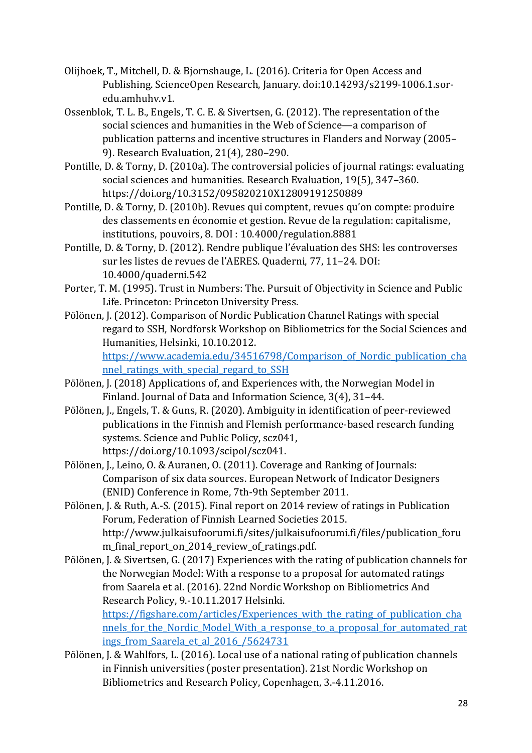- Olijhoek, T., Mitchell, D. & Bjornshauge, L. (2016). Criteria for Open Access and Publishing. ScienceOpen Research, January. doi:10.14293/s2199-1006.1.soredu.amhuhv.v1.
- Ossenblok, T. L. B., Engels, T. C. E. & Sivertsen, G. (2012). The representation of the social sciences and humanities in the Web of Science—a comparison of publication patterns and incentive structures in Flanders and Norway (2005– 9). Research Evaluation, 21(4), 280-290.
- Pontille, D. & Torny, D. (2010a). The controversial policies of journal ratings: evaluating social sciences and humanities. Research Evaluation, 19(5), 347-360. https://doi.org/10.3152/095820210X12809191250889
- Pontille, D. & Torny, D. (2010b). Revues qui comptent, revues qu'on compte: produire des classements en économie et gestion. Revue de la regulation: capitalisme, institutions, pouvoirs, 8. DOI: 10.4000/regulation.8881
- Pontille, D. & Torny, D. (2012). Rendre publique l'évaluation des SHS: les controverses sur les listes de revues de l'AERES. Quaderni, 77, 11-24. DOI: 10.4000/quaderni.542
- Porter, T. M. (1995). Trust in Numbers: The. Pursuit of Objectivity in Science and Public Life. Princeton: Princeton University Press.
- Pölönen, J. (2012). Comparison of Nordic Publication Channel Ratings with special regard to SSH, Nordforsk Workshop on Bibliometrics for the Social Sciences and Humanities, Helsinki, 10.10.2012. https://www.academia.edu/34516798/Comparison\_of\_Nordic\_publication\_cha nnel ratings with special regard to SSH
- Pölönen, J. (2018) Applications of, and Experiences with, the Norwegian Model in Finland. Journal of Data and Information Science, 3(4), 31-44.
- Pölönen, J., Engels, T. & Guns, R. (2020). Ambiguity in identification of peer-reviewed publications in the Finnish and Flemish performance-based research funding systems. Science and Public Policy, scz041, https://doi.org/10.1093/scipol/scz041.
- Pölönen, J., Leino, O. & Auranen, O. (2011). Coverage and Ranking of Journals: Comparison of six data sources. European Network of Indicator Designers (ENID) Conference in Rome, 7th-9th September 2011.
- Pölönen, J. & Ruth, A.-S. (2015). Final report on 2014 review of ratings in Publication Forum, Federation of Finnish Learned Societies 2015. http://www.julkaisufoorumi.fi/sites/julkaisufoorumi.fi/files/publication\_foru m final report on 2014 review of ratings.pdf.
- Pölönen, J. & Sivertsen, G. (2017) Experiences with the rating of publication channels for the Norwegian Model: With a response to a proposal for automated ratings from Saarela et al. (2016). 22nd Nordic Workshop on Bibliometrics And Research Policy, 9.-10.11.2017 Helsinki. https://figshare.com/articles/Experiences with the rating of publication cha

nnels for the Nordic Model With a response to a proposal for automated rat ings from Saarela et al 2016 / 5624731

Pölönen, J. & Wahlfors, L. (2016). Local use of a national rating of publication channels in Finnish universities (poster presentation). 21st Nordic Workshop on Bibliometrics and Research Policy, Copenhagen, 3.-4.11.2016.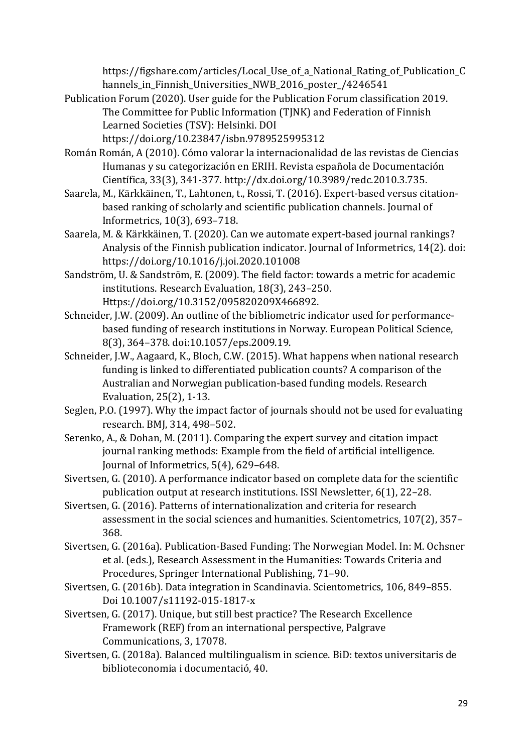https://figshare.com/articles/Local Use of a National Rating of Publication C hannels\_in\_Finnish\_Universities\_NWB\_2016\_poster\_/4246541

- Publication Forum (2020). User guide for the Publication Forum classification 2019. The Committee for Public Information (TJNK) and Federation of Finnish Learned Societies (TSV): Helsinki. DOI
	- https://doi.org/10.23847/isbn.9789525995312
- Román Román, A (2010). Cómo valorar la internacionalidad de las revistas de Ciencias Humanas y su categorización en ERIH. Revista española de Documentación Científica, 33(3), 341-377. http://dx.doi.org/10.3989/redc.2010.3.735.
- Saarela, M., Kärkkäinen, T., Lahtonen, t., Rossi, T. (2016). Expert-based versus citationbased ranking of scholarly and scientific publication channels. Journal of Informetrics, 10(3), 693–718.
- Saarela, M. & Kärkkäinen, T. (2020). Can we automate expert-based journal rankings? Analysis of the Finnish publication indicator. Journal of Informetrics, 14(2). doi: https://doi.org/10.1016/j.joi.2020.101008
- Sandström, U. & Sandström, E. (2009). The field factor: towards a metric for academic institutions. Research Evaluation, 18(3), 243-250. Https://doi.org/10.3152/095820209X466892.
- Schneider, J.W. (2009). An outline of the bibliometric indicator used for performancebased funding of research institutions in Norway. European Political Science, 8(3), 364–378. doi:10.1057/eps.2009.19.
- Schneider, J.W., Aagaard, K., Bloch, C.W. (2015). What happens when national research funding is linked to differentiated publication counts? A comparison of the Australian and Norwegian publication-based funding models. Research Evaluation, 25(2), 1-13.
- Seglen, P.O. (1997). Why the impact factor of journals should not be used for evaluating research. BMJ, 314, 498-502.
- Serenko, A., & Dohan, M. (2011). Comparing the expert survey and citation impact journal ranking methods: Example from the field of artificial intelligence. Journal of Informetrics, 5(4), 629-648.
- Sivertsen, G. (2010). A performance indicator based on complete data for the scientific publication output at research institutions. ISSI Newsletter,  $6(1)$ , 22-28.
- Sivertsen, G. (2016). Patterns of internationalization and criteria for research assessment in the social sciences and humanities. Scientometrics, 107(2), 357– 368.
- Sivertsen, G. (2016a). Publication-Based Funding: The Norwegian Model. In: M. Ochsner et al. (eds.), Research Assessment in the Humanities: Towards Criteria and Procedures, Springer International Publishing, 71–90.
- Sivertsen, G. (2016b). Data integration in Scandinavia. Scientometrics, 106, 849–855. Doi 10.1007/s11192-015-1817-x
- Sivertsen, G. (2017). Unique, but still best practice? The Research Excellence Framework (REF) from an international perspective, Palgrave Communications, 3, 17078.
- Sivertsen, G. (2018a). Balanced multilingualism in science. BiD: textos universitaris de biblioteconomia i documentació, 40.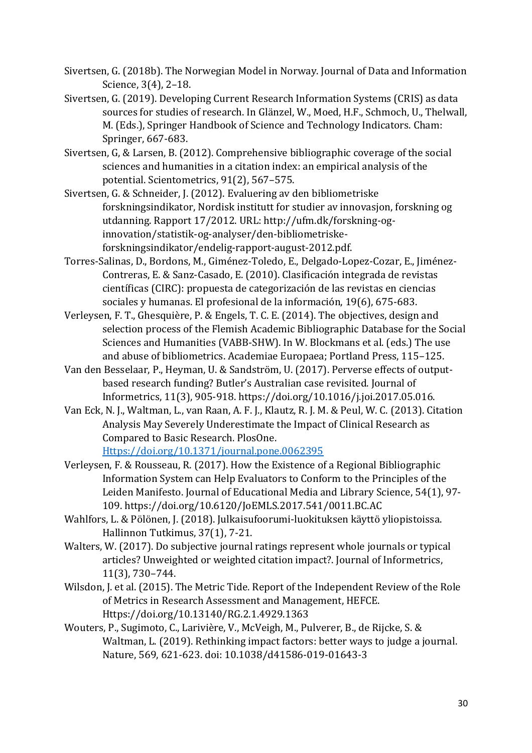- Sivertsen, G. (2018b). The Norwegian Model in Norway. Journal of Data and Information Science, 3(4), 2-18.
- Sivertsen, G. (2019). Developing Current Research Information Systems (CRIS) as data sources for studies of research. In Glänzel, W., Moed, H.F., Schmoch, U., Thelwall, M. (Eds.), Springer Handbook of Science and Technology Indicators. Cham: Springer, 667-683.
- Sivertsen, G, & Larsen, B. (2012). Comprehensive bibliographic coverage of the social sciences and humanities in a citation index: an empirical analysis of the potential. Scientometrics, 91(2), 567-575.
- Sivertsen, G. & Schneider, J. (2012). Evaluering av den bibliometriske forskningsindikator, Nordisk institutt for studier av innovasjon, forskning og utdanning. Rapport 17/2012. URL: http://ufm.dk/forskning-oginnovation/statistik-og-analyser/den-bibliometriskeforskningsindikator/endelig-rapport-august-2012.pdf.
- Torres-Salinas, D., Bordons, M., Giménez-Toledo, E., Delgado-Lopez-Cozar, E., Jiménez-Contreras, E. & Sanz-Casado, E. (2010). Clasificación integrada de revistas científicas (CIRC): propuesta de categorización de las revistas en ciencias sociales y humanas. El profesional de la información, 19(6), 675-683.
- Verleysen, F. T., Ghesquière, P. & Engels, T. C. E. (2014). The objectives, design and selection process of the Flemish Academic Bibliographic Database for the Social Sciences and Humanities (VABB-SHW). In W. Blockmans et al. (eds.) The use and abuse of bibliometrics. Academiae Europaea; Portland Press, 115-125.
- Van den Besselaar, P., Heyman, U. & Sandström, U. (2017). Perverse effects of outputbased research funding? Butler's Australian case revisited. Journal of Informetrics, 11(3), 905-918. https://doi.org/10.1016/j.joi.2017.05.016.
- Van Eck, N. J., Waltman, L., van Raan, A. F. J., Klautz, R. J. M. & Peul, W. C. (2013). Citation Analysis May Severely Underestimate the Impact of Clinical Research as Compared to Basic Research. PlosOne.
	- Https://doi.org/10.1371/journal.pone.0062395
- Verleysen, F. & Rousseau, R. (2017). How the Existence of a Regional Bibliographic Information System can Help Evaluators to Conform to the Principles of the Leiden Manifesto. Journal of Educational Media and Library Science, 54(1), 97-109. https://doi.org/10.6120/JoEMLS.2017.541/0011.BC.AC
- Wahlfors, L. & Pölönen, J. (2018). Julkaisufoorumi-luokituksen käyttö yliopistoissa. Hallinnon Tutkimus, 37(1), 7-21.
- Walters, W. (2017). Do subjective journal ratings represent whole journals or typical articles? Unweighted or weighted citation impact?. Journal of Informetrics, 11(3), 730–744.
- Wilsdon, J. et al. (2015). The Metric Tide. Report of the Independent Review of the Role of Metrics in Research Assessment and Management, HEFCE. Https://doi.org/10.13140/RG.2.1.4929.1363
- Wouters, P., Sugimoto, C., Larivière, V., McVeigh, M., Pulverer, B., de Rijcke, S. & Waltman, L. (2019). Rethinking impact factors: better ways to judge a journal. Nature, 569, 621-623. doi: 10.1038/d41586-019-01643-3